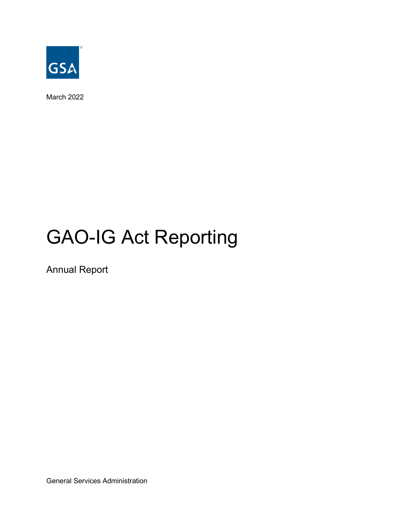

March 2022

# GAO-IG Act Reporting

Annual Report

General Services Administration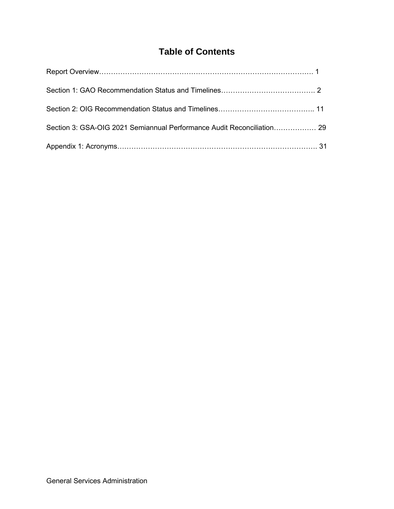## **Table of Contents**

| Section 3: GSA-OIG 2021 Semiannual Performance Audit Reconciliation 29 |  |
|------------------------------------------------------------------------|--|
|                                                                        |  |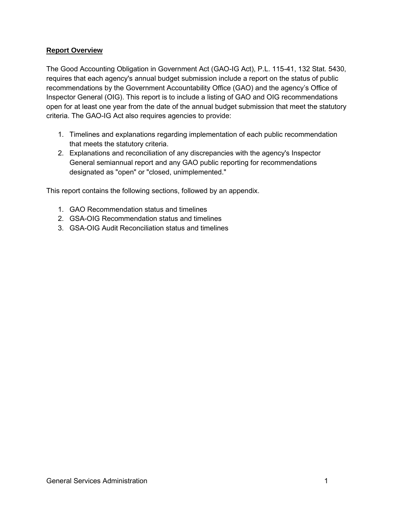#### **Report Overview**

The Good Accounting Obligation in Government Act (GAO-IG Act), P.L. 115-41, 132 Stat. 5430, requires that each agency's annual budget submission include a report on the status of public recommendations by the Government Accountability Office (GAO) and the agency's Office of Inspector General (OIG). This report is to include a listing of GAO and OIG recommendations open for at least one year from the date of the annual budget submission that meet the statutory criteria. The GAO-IG Act also requires agencies to provide:

- 1. Timelines and explanations regarding implementation of each public recommendation that meets the statutory criteria.
- 2. Explanations and reconciliation of any discrepancies with the agency's Inspector General semiannual report and any GAO public reporting for recommendations designated as "open" or "closed, unimplemented."

This report contains the following sections, followed by an appendix.

- 1. GAO Recommendation status and timelines
- 2. GSA-OIG Recommendation status and timelines
- 3. GSA-OIG Audit Reconciliation status and timelines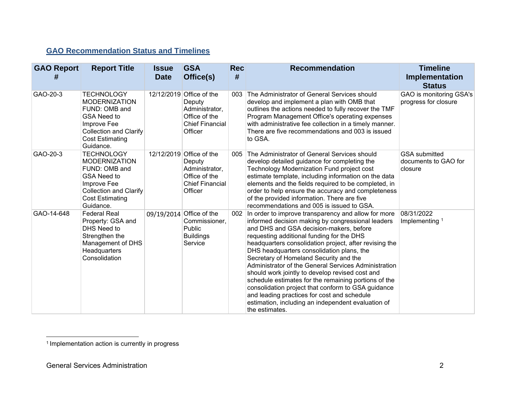### **GAO Recommendation Status and Timelines**

| <b>GAO Report</b><br># | <b>Report Title</b>                                                                                                                                                     | <b>Issue</b><br><b>Date</b> | <b>GSA</b><br>Office(s)                                                                                    | <b>Rec</b><br># | <b>Recommendation</b>                                                                                                                                                                                                                                                                                                                                                                                                                                                                                                                                                                                                                                                                             | <b>Timeline</b><br>Implementation<br><b>Status</b>      |
|------------------------|-------------------------------------------------------------------------------------------------------------------------------------------------------------------------|-----------------------------|------------------------------------------------------------------------------------------------------------|-----------------|---------------------------------------------------------------------------------------------------------------------------------------------------------------------------------------------------------------------------------------------------------------------------------------------------------------------------------------------------------------------------------------------------------------------------------------------------------------------------------------------------------------------------------------------------------------------------------------------------------------------------------------------------------------------------------------------------|---------------------------------------------------------|
| GAO-20-3               | <b>TECHNOLOGY</b><br><b>MODERNIZATION</b><br>FUND: OMB and<br><b>GSA Need to</b><br>Improve Fee<br><b>Collection and Clarify</b><br><b>Cost Estimating</b><br>Guidance. |                             | 12/12/2019 Office of the<br>Deputy<br>Administrator,<br>Office of the<br><b>Chief Financial</b><br>Officer | 003             | The Administrator of General Services should<br>develop and implement a plan with OMB that<br>outlines the actions needed to fully recover the TMF<br>Program Management Office's operating expenses<br>with administrative fee collection in a timely manner.<br>There are five recommendations and 003 is issued<br>to GSA.                                                                                                                                                                                                                                                                                                                                                                     | GAO is monitoring GSA's<br>progress for closure         |
| GAO-20-3               | <b>TECHNOLOGY</b><br><b>MODERNIZATION</b><br>FUND: OMB and<br><b>GSA Need to</b><br>Improve Fee<br><b>Collection and Clarify</b><br><b>Cost Estimating</b><br>Guidance. |                             | 12/12/2019 Office of the<br>Deputy<br>Administrator,<br>Office of the<br><b>Chief Financial</b><br>Officer | 005             | The Administrator of General Services should<br>develop detailed guidance for completing the<br>Technology Modernization Fund project cost<br>estimate template, including information on the data<br>elements and the fields required to be completed, in<br>order to help ensure the accuracy and completeness<br>of the provided information. There are five<br>recommendations and 005 is issued to GSA.                                                                                                                                                                                                                                                                                      | <b>GSA</b> submitted<br>documents to GAO for<br>closure |
| GAO-14-648             | <b>Federal Real</b><br>Property: GSA and<br>DHS Need to<br>Strengthen the<br>Management of DHS<br>Headquarters<br>Consolidation                                         | 09/19/2014                  | Office of the<br>Commissioner.<br>Public<br><b>Buildings</b><br>Service                                    | 002             | In order to improve transparency and allow for more<br>informed decision making by congressional leaders<br>and DHS and GSA decision-makers, before<br>requesting additional funding for the DHS<br>headquarters consolidation project, after revising the<br>DHS headquarters consolidation plans, the<br>Secretary of Homeland Security and the<br>Administrator of the General Services Administration<br>should work jointly to develop revised cost and<br>schedule estimates for the remaining portions of the<br>consolidation project that conform to GSA guidance<br>and leading practices for cost and schedule<br>estimation, including an independent evaluation of<br>the estimates. | 08/31/2022<br>Implementing <sup>1</sup>                 |

<sup>&</sup>lt;sup>1</sup> Implementation action is currently in progress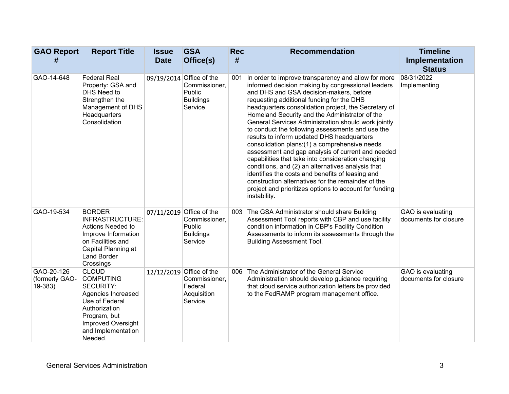| <b>GAO Report</b><br>#                  | <b>Report Title</b>                                                                                                                                                                  | <b>Issue</b><br><b>Date</b> | <b>GSA</b><br>Office(s)                                                            | <b>Rec</b><br># | <b>Recommendation</b>                                                                                                                                                                                                                                                                                                                                                                                                                                                                                                                                                                                                                                                                                                                                                                                                                                                     | <b>Timeline</b><br>Implementation<br><b>Status</b> |
|-----------------------------------------|--------------------------------------------------------------------------------------------------------------------------------------------------------------------------------------|-----------------------------|------------------------------------------------------------------------------------|-----------------|---------------------------------------------------------------------------------------------------------------------------------------------------------------------------------------------------------------------------------------------------------------------------------------------------------------------------------------------------------------------------------------------------------------------------------------------------------------------------------------------------------------------------------------------------------------------------------------------------------------------------------------------------------------------------------------------------------------------------------------------------------------------------------------------------------------------------------------------------------------------------|----------------------------------------------------|
| GAO-14-648                              | <b>Federal Real</b><br>Property: GSA and<br>DHS Need to<br>Strengthen the<br>Management of DHS<br>Headquarters<br>Consolidation                                                      |                             | 09/19/2014 Office of the<br>Commissioner,<br>Public<br><b>Buildings</b><br>Service | 001             | In order to improve transparency and allow for more<br>informed decision making by congressional leaders<br>and DHS and GSA decision-makers, before<br>requesting additional funding for the DHS<br>headquarters consolidation project, the Secretary of<br>Homeland Security and the Administrator of the<br>General Services Administration should work jointly<br>to conduct the following assessments and use the<br>results to inform updated DHS headquarters<br>consolidation plans: (1) a comprehensive needs<br>assessment and gap analysis of current and needed<br>capabilities that take into consideration changing<br>conditions, and (2) an alternatives analysis that<br>identifies the costs and benefits of leasing and<br>construction alternatives for the remainder of the<br>project and prioritizes options to account for funding<br>instability. | 08/31/2022<br>Implementing                         |
| GAO-19-534                              | <b>BORDER</b><br><b>INFRASTRUCTURE:</b><br>Actions Needed to<br>Improve Information<br>on Facilities and<br>Capital Planning at<br>Land Border<br>Crossings                          |                             | 07/11/2019 Office of the<br>Commissioner,<br>Public<br><b>Buildings</b><br>Service | 003             | The GSA Administrator should share Building<br>Assessment Tool reports with CBP and use facility<br>condition information in CBP's Facility Condition<br>Assessments to inform its assessments through the<br><b>Building Assessment Tool.</b>                                                                                                                                                                                                                                                                                                                                                                                                                                                                                                                                                                                                                            | GAO is evaluating<br>documents for closure         |
| GAO-20-126<br>(formerly GAO-<br>19-383) | <b>CLOUD</b><br><b>COMPUTING</b><br><b>SECURITY:</b><br>Agencies Increased<br>Use of Federal<br>Authorization<br>Program, but<br>Improved Oversight<br>and Implementation<br>Needed. |                             | 12/12/2019 Office of the<br>Commissioner,<br>Federal<br>Acquisition<br>Service     | 006             | The Administrator of the General Service<br>Administration should develop guidance requiring<br>that cloud service authorization letters be provided<br>to the FedRAMP program management office.                                                                                                                                                                                                                                                                                                                                                                                                                                                                                                                                                                                                                                                                         | GAO is evaluating<br>documents for closure         |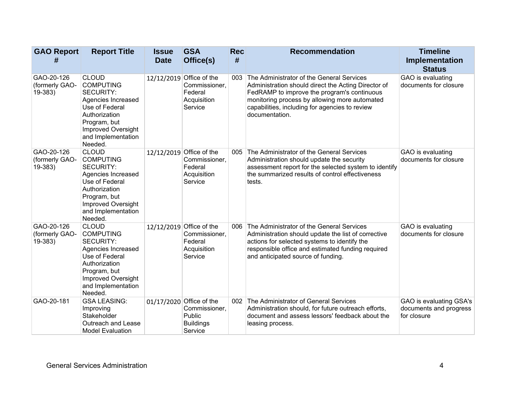| <b>GAO Report</b><br>#                  | <b>Report Title</b>                                                                                                                                                                         | <b>Issue</b><br><b>Date</b> | <b>GSA</b><br>Office(s)                                                            | <b>Rec</b><br># | <b>Recommendation</b>                                                                                                                                                                                                                                                | <b>Timeline</b><br>Implementation<br><b>Status</b>               |
|-----------------------------------------|---------------------------------------------------------------------------------------------------------------------------------------------------------------------------------------------|-----------------------------|------------------------------------------------------------------------------------|-----------------|----------------------------------------------------------------------------------------------------------------------------------------------------------------------------------------------------------------------------------------------------------------------|------------------------------------------------------------------|
| GAO-20-126<br>(formerly GAO-<br>19-383) | <b>CLOUD</b><br><b>COMPUTING</b><br><b>SECURITY:</b><br>Agencies Increased<br>Use of Federal<br>Authorization<br>Program, but<br><b>Improved Oversight</b><br>and Implementation<br>Needed. |                             | 12/12/2019 Office of the<br>Commissioner,<br>Federal<br>Acquisition<br>Service     | 003             | The Administrator of the General Services<br>Administration should direct the Acting Director of<br>FedRAMP to improve the program's continuous<br>monitoring process by allowing more automated<br>capabilities, including for agencies to review<br>documentation. | GAO is evaluating<br>documents for closure                       |
| GAO-20-126<br>(formerly GAO-<br>19-383) | <b>CLOUD</b><br><b>COMPUTING</b><br><b>SECURITY:</b><br>Agencies Increased<br>Use of Federal<br>Authorization<br>Program, but<br>Improved Oversight<br>and Implementation<br>Needed.        |                             | 12/12/2019 Office of the<br>Commissioner,<br>Federal<br>Acquisition<br>Service     | 005             | The Administrator of the General Services<br>Administration should update the security<br>assessment report for the selected system to identify<br>the summarized results of control effectiveness<br>tests.                                                         | GAO is evaluating<br>documents for closure                       |
| GAO-20-126<br>(formerly GAO-<br>19-383) | <b>CLOUD</b><br><b>COMPUTING</b><br><b>SECURITY:</b><br>Agencies Increased<br>Use of Federal<br>Authorization<br>Program, but<br><b>Improved Oversight</b><br>and Implementation<br>Needed. |                             | 12/12/2019 Office of the<br>Commissioner,<br>Federal<br>Acquisition<br>Service     | 006             | The Administrator of the General Services<br>Administration should update the list of corrective<br>actions for selected systems to identify the<br>responsible office and estimated funding required<br>and anticipated source of funding.                          | GAO is evaluating<br>documents for closure                       |
| GAO-20-181                              | <b>GSA LEASING:</b><br>Improving<br>Stakeholder<br>Outreach and Lease<br><b>Model Evaluation</b>                                                                                            |                             | 01/17/2020 Office of the<br>Commissioner,<br>Public<br><b>Buildings</b><br>Service | 002             | The Administrator of General Services<br>Administration should, for future outreach efforts,<br>document and assess lessors' feedback about the<br>leasing process.                                                                                                  | GAO is evaluating GSA's<br>documents and progress<br>for closure |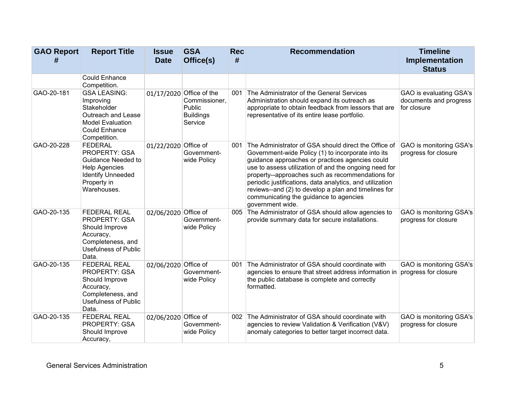| <b>GAO Report</b><br># | <b>Report Title</b>                                                                                                                            | <b>Issue</b><br><b>Date</b> | <b>GSA</b><br>Office(s)                                                            | <b>Rec</b><br># | <b>Recommendation</b>                                                                                                                                                                                                                                                                                                                                                                                                                                        | <b>Timeline</b><br><b>Implementation</b><br><b>Status</b>        |
|------------------------|------------------------------------------------------------------------------------------------------------------------------------------------|-----------------------------|------------------------------------------------------------------------------------|-----------------|--------------------------------------------------------------------------------------------------------------------------------------------------------------------------------------------------------------------------------------------------------------------------------------------------------------------------------------------------------------------------------------------------------------------------------------------------------------|------------------------------------------------------------------|
|                        | <b>Could Enhance</b><br>Competition.                                                                                                           |                             |                                                                                    |                 |                                                                                                                                                                                                                                                                                                                                                                                                                                                              |                                                                  |
| GAO-20-181             | <b>GSA LEASING:</b><br>Improving<br>Stakeholder<br>Outreach and Lease<br><b>Model Evaluation</b><br><b>Could Enhance</b><br>Competition.       |                             | 01/17/2020 Office of the<br>Commissioner,<br>Public<br><b>Buildings</b><br>Service | 001             | The Administrator of the General Services<br>Administration should expand its outreach as<br>appropriate to obtain feedback from lessors that are<br>representative of its entire lease portfolio.                                                                                                                                                                                                                                                           | GAO is evaluating GSA's<br>documents and progress<br>for closure |
| GAO-20-228             | <b>FEDERAL</b><br><b>PROPERTY: GSA</b><br>Guidance Needed to<br><b>Help Agencies</b><br><b>Identify Unneeded</b><br>Property in<br>Warehouses. | 01/22/2020 Office of        | Government-<br>wide Policy                                                         | 001             | The Administrator of GSA should direct the Office of<br>Government-wide Policy (1) to incorporate into its<br>guidance approaches or practices agencies could<br>use to assess utilization of and the ongoing need for<br>property--approaches such as recommendations for<br>periodic justifications, data analytics, and utilization<br>reviews--and (2) to develop a plan and timelines for<br>communicating the guidance to agencies<br>government wide. | GAO is monitoring GSA's<br>progress for closure                  |
| GAO-20-135             | <b>FEDERAL REAL</b><br>PROPERTY: GSA<br>Should Improve<br>Accuracy,<br>Completeness, and<br><b>Usefulness of Public</b><br>Data.               | 02/06/2020 Office of        | Government-<br>wide Policy                                                         | 005             | The Administrator of GSA should allow agencies to<br>provide summary data for secure installations.                                                                                                                                                                                                                                                                                                                                                          | GAO is monitoring GSA's<br>progress for closure                  |
| GAO-20-135             | <b>FEDERAL REAL</b><br>PROPERTY: GSA<br>Should Improve<br>Accuracy,<br>Completeness, and<br><b>Usefulness of Public</b><br>Data.               | 02/06/2020 Office of        | Government-<br>wide Policy                                                         | 001             | The Administrator of GSA should coordinate with<br>agencies to ensure that street address information in<br>the public database is complete and correctly<br>formatted.                                                                                                                                                                                                                                                                                      | GAO is monitoring GSA's<br>progress for closure                  |
| GAO-20-135             | <b>FEDERAL REAL</b><br>PROPERTY: GSA<br>Should Improve<br>Accuracy,                                                                            | 02/06/2020 Office of        | Government-<br>wide Policy                                                         | 002             | The Administrator of GSA should coordinate with<br>agencies to review Validation & Verification (V&V)<br>anomaly categories to better target incorrect data.                                                                                                                                                                                                                                                                                                 | GAO is monitoring GSA's<br>progress for closure                  |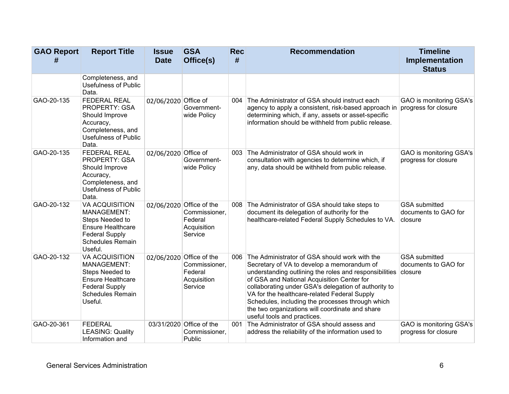| <b>GAO Report</b> | <b>Report Title</b>                                                                                                                         | <b>Issue</b>         | <b>GSA</b>                                                                     | <b>Rec</b><br># | <b>Recommendation</b>                                                                                                                                                                                                                                                                                                                                                                                                                             | <b>Timeline</b>                                                |
|-------------------|---------------------------------------------------------------------------------------------------------------------------------------------|----------------------|--------------------------------------------------------------------------------|-----------------|---------------------------------------------------------------------------------------------------------------------------------------------------------------------------------------------------------------------------------------------------------------------------------------------------------------------------------------------------------------------------------------------------------------------------------------------------|----------------------------------------------------------------|
| #                 |                                                                                                                                             | <b>Date</b>          | Office(s)                                                                      |                 |                                                                                                                                                                                                                                                                                                                                                                                                                                                   | Implementation<br><b>Status</b>                                |
|                   | Completeness, and<br><b>Usefulness of Public</b><br>Data.                                                                                   |                      |                                                                                |                 |                                                                                                                                                                                                                                                                                                                                                                                                                                                   |                                                                |
| GAO-20-135        | FEDERAL REAL<br><b>PROPERTY: GSA</b><br>Should Improve<br>Accuracy,<br>Completeness, and<br><b>Usefulness of Public</b><br>Data.            | 02/06/2020 Office of | Government-<br>wide Policy                                                     | 004             | The Administrator of GSA should instruct each<br>agency to apply a consistent, risk-based approach in<br>determining which, if any, assets or asset-specific<br>information should be withheld from public release.                                                                                                                                                                                                                               | GAO is monitoring GSA's<br>progress for closure                |
| GAO-20-135        | <b>FEDERAL REAL</b><br>PROPERTY: GSA<br>Should Improve<br>Accuracy,<br>Completeness, and<br>Usefulness of Public<br>Data.                   | 02/06/2020 Office of | Government-<br>wide Policy                                                     | 003             | The Administrator of GSA should work in<br>consultation with agencies to determine which, if<br>any, data should be withheld from public release.                                                                                                                                                                                                                                                                                                 | GAO is monitoring GSA's<br>progress for closure                |
| GAO-20-132        | VA ACQUISITION<br>MANAGEMENT:<br>Steps Needed to<br><b>Ensure Healthcare</b><br><b>Federal Supply</b><br><b>Schedules Remain</b><br>Useful. |                      | 02/06/2020 Office of the<br>Commissioner,<br>Federal<br>Acquisition<br>Service | 008             | The Administrator of GSA should take steps to<br>document its delegation of authority for the<br>healthcare-related Federal Supply Schedules to VA.                                                                                                                                                                                                                                                                                               | <b>GSA</b> submitted<br>documents to GAO for<br>closure        |
| GAO-20-132        | VA ACQUISITION<br>MANAGEMENT:<br>Steps Needed to<br><b>Ensure Healthcare</b><br><b>Federal Supply</b><br><b>Schedules Remain</b><br>Useful. |                      | 02/06/2020 Office of the<br>Commissioner,<br>Federal<br>Acquisition<br>Service | 006             | The Administrator of GSA should work with the<br>Secretary of VA to develop a memorandum of<br>understanding outlining the roles and responsibilities<br>of GSA and National Acquisition Center for<br>collaborating under GSA's delegation of authority to<br>VA for the healthcare-related Federal Supply<br>Schedules, including the processes through which<br>the two organizations will coordinate and share<br>useful tools and practices. | <b>GSA</b> submitted<br>documents to GAO for<br><i>closure</i> |
| GAO-20-361        | <b>FEDERAL</b><br><b>LEASING: Quality</b><br>Information and                                                                                |                      | 03/31/2020 Office of the<br>Commissioner,<br>Public                            | 001             | The Administrator of GSA should assess and<br>address the reliability of the information used to                                                                                                                                                                                                                                                                                                                                                  | GAO is monitoring GSA's<br>progress for closure                |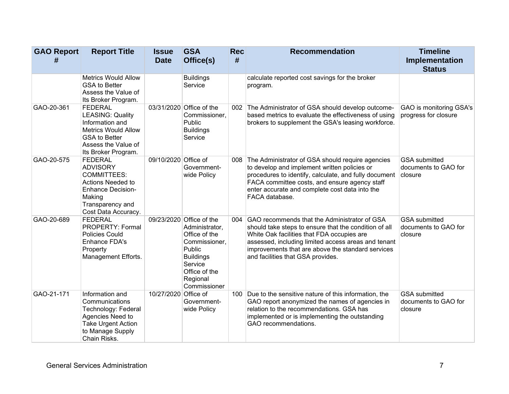| <b>GAO Report</b><br># | <b>Report Title</b>                                                                                                                                              | <b>Issue</b><br><b>Date</b> | <b>GSA</b><br>Office(s)                                                                                                                                            | <b>Rec</b><br># | <b>Recommendation</b>                                                                                                                                                                                                                                                                                | <b>Timeline</b><br>Implementation                       |
|------------------------|------------------------------------------------------------------------------------------------------------------------------------------------------------------|-----------------------------|--------------------------------------------------------------------------------------------------------------------------------------------------------------------|-----------------|------------------------------------------------------------------------------------------------------------------------------------------------------------------------------------------------------------------------------------------------------------------------------------------------------|---------------------------------------------------------|
|                        |                                                                                                                                                                  |                             |                                                                                                                                                                    |                 |                                                                                                                                                                                                                                                                                                      | <b>Status</b>                                           |
|                        | <b>Metrics Would Allow</b><br><b>GSA to Better</b><br>Assess the Value of<br>Its Broker Program.                                                                 |                             | <b>Buildings</b><br>Service                                                                                                                                        |                 | calculate reported cost savings for the broker<br>program.                                                                                                                                                                                                                                           |                                                         |
| GAO-20-361             | <b>FEDERAL</b><br><b>LEASING: Quality</b><br>Information and<br><b>Metrics Would Allow</b><br><b>GSA to Better</b><br>Assess the Value of<br>Its Broker Program. |                             | 03/31/2020 Office of the<br>Commissioner,<br>Public<br><b>Buildings</b><br>Service                                                                                 | 002             | The Administrator of GSA should develop outcome-<br>based metrics to evaluate the effectiveness of using<br>brokers to supplement the GSA's leasing workforce.                                                                                                                                       | GAO is monitoring GSA's<br>progress for closure         |
| GAO-20-575             | <b>FEDERAL</b><br><b>ADVISORY</b><br><b>COMMITTEES:</b><br>Actions Needed to<br><b>Enhance Decision-</b><br>Making<br>Transparency and<br>Cost Data Accuracy.    | 09/10/2020 Office of        | Government-<br>wide Policy                                                                                                                                         | 008             | The Administrator of GSA should require agencies<br>to develop and implement written policies or<br>procedures to identify, calculate, and fully document<br>FACA committee costs, and ensure agency staff<br>enter accurate and complete cost data into the<br>FACA database.                       | <b>GSA</b> submitted<br>documents to GAO for<br>closure |
| GAO-20-689             | <b>FEDERAL</b><br>PROPERTY: Formal<br>Policies Could<br>Enhance FDA's<br>Property<br>Management Efforts.                                                         |                             | 09/23/2020 Office of the<br>Administrator,<br>Office of the<br>Commissioner,<br>Public<br><b>Buildings</b><br>Service<br>Office of the<br>Regional<br>Commissioner | 004             | GAO recommends that the Administrator of GSA<br>should take steps to ensure that the condition of all<br>White Oak facilities that FDA occupies are<br>assessed, including limited access areas and tenant<br>improvements that are above the standard services<br>and facilities that GSA provides. | <b>GSA</b> submitted<br>documents to GAO for<br>closure |
| GAO-21-171             | Information and<br>Communications<br>Technology: Federal<br>Agencies Need to<br><b>Take Urgent Action</b><br>to Manage Supply<br>Chain Risks.                    | 10/27/2020 Office of        | Government-<br>wide Policy                                                                                                                                         | 100             | Due to the sensitive nature of this information, the<br>GAO report anonymized the names of agencies in<br>relation to the recommendations. GSA has<br>implemented or is implementing the outstanding<br>GAO recommendations.                                                                         | <b>GSA</b> submitted<br>documents to GAO for<br>closure |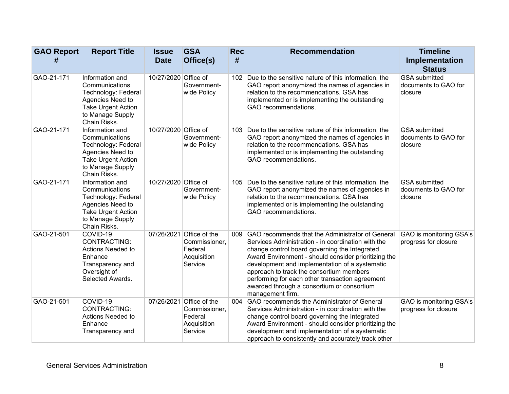| <b>GAO Report</b><br># | <b>Report Title</b>                                                                                                                           | <b>Issue</b><br><b>Date</b> | <b>GSA</b><br>Office(s)                                                        | <b>Rec</b><br># | <b>Recommendation</b>                                                                                                                                                                                                                                                                                                                                                                                                                  | <b>Timeline</b><br>Implementation<br><b>Status</b>      |
|------------------------|-----------------------------------------------------------------------------------------------------------------------------------------------|-----------------------------|--------------------------------------------------------------------------------|-----------------|----------------------------------------------------------------------------------------------------------------------------------------------------------------------------------------------------------------------------------------------------------------------------------------------------------------------------------------------------------------------------------------------------------------------------------------|---------------------------------------------------------|
| GAO-21-171             | Information and<br>Communications<br>Technology: Federal<br>Agencies Need to<br><b>Take Urgent Action</b><br>to Manage Supply<br>Chain Risks. | 10/27/2020 Office of        | Government-<br>wide Policy                                                     |                 | 102 Due to the sensitive nature of this information, the<br>GAO report anonymized the names of agencies in<br>relation to the recommendations. GSA has<br>implemented or is implementing the outstanding<br>GAO recommendations.                                                                                                                                                                                                       | <b>GSA</b> submitted<br>documents to GAO for<br>closure |
| GAO-21-171             | Information and<br>Communications<br>Technology: Federal<br>Agencies Need to<br>Take Urgent Action<br>to Manage Supply<br>Chain Risks.        | 10/27/2020 Office of        | Government-<br>wide Policy                                                     |                 | 103 Due to the sensitive nature of this information, the<br>GAO report anonymized the names of agencies in<br>relation to the recommendations. GSA has<br>implemented or is implementing the outstanding<br>GAO recommendations.                                                                                                                                                                                                       | <b>GSA</b> submitted<br>documents to GAO for<br>closure |
| GAO-21-171             | Information and<br>Communications<br>Technology: Federal<br>Agencies Need to<br><b>Take Urgent Action</b><br>to Manage Supply<br>Chain Risks. | 10/27/2020 Office of        | Government-<br>wide Policy                                                     |                 | 105 Due to the sensitive nature of this information, the<br>GAO report anonymized the names of agencies in<br>relation to the recommendations. GSA has<br>implemented or is implementing the outstanding<br>GAO recommendations.                                                                                                                                                                                                       | <b>GSA</b> submitted<br>documents to GAO for<br>closure |
| GAO-21-501             | COVID-19<br>CONTRACTING:<br>Actions Needed to<br>Enhance<br>Transparency and<br>Oversight of<br>Selected Awards.                              |                             | 07/26/2021 Office of the<br>Commissioner,<br>Federal<br>Acquisition<br>Service |                 | 009 GAO recommends that the Administrator of General<br>Services Administration - in coordination with the<br>change control board governing the Integrated<br>Award Environment - should consider prioritizing the<br>development and implementation of a systematic<br>approach to track the consortium members<br>performing for each other transaction agreement<br>awarded through a consortium or consortium<br>management firm. | GAO is monitoring GSA's<br>progress for closure         |
| GAO-21-501             | COVID-19<br>CONTRACTING:<br>Actions Needed to<br>Enhance<br>Transparency and                                                                  |                             | 07/26/2021 Office of the<br>Commissioner,<br>Federal<br>Acquisition<br>Service | 004             | GAO recommends the Administrator of General<br>Services Administration - in coordination with the<br>change control board governing the Integrated<br>Award Environment - should consider prioritizing the<br>development and implementation of a systematic<br>approach to consistently and accurately track other                                                                                                                    | GAO is monitoring GSA's<br>progress for closure         |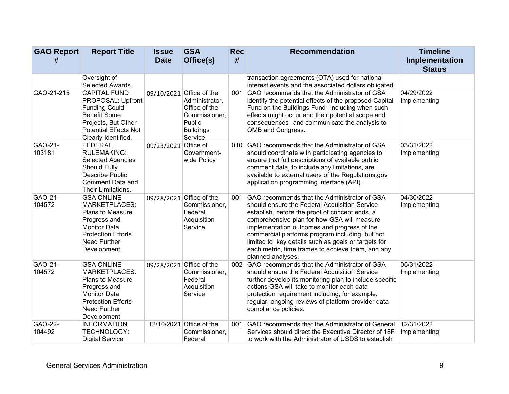| <b>GAO Report</b><br># | <b>Report Title</b>                                                                                                                                                             | <b>Issue</b><br><b>Date</b> | <b>GSA</b><br>Office(s)                                                                                               | <b>Rec</b><br># | <b>Recommendation</b>                                                                                                                                                                                                                                                                                                                                                                                                              | <b>Timeline</b><br>Implementation |
|------------------------|---------------------------------------------------------------------------------------------------------------------------------------------------------------------------------|-----------------------------|-----------------------------------------------------------------------------------------------------------------------|-----------------|------------------------------------------------------------------------------------------------------------------------------------------------------------------------------------------------------------------------------------------------------------------------------------------------------------------------------------------------------------------------------------------------------------------------------------|-----------------------------------|
|                        | Oversight of<br>Selected Awards.                                                                                                                                                |                             |                                                                                                                       |                 | transaction agreements (OTA) used for national<br>interest events and the associated dollars obligated.                                                                                                                                                                                                                                                                                                                            | <b>Status</b>                     |
| GAO-21-215             | <b>CAPITAL FUND</b><br>PROPOSAL: Upfront<br><b>Funding Could</b><br><b>Benefit Some</b><br>Projects, But Other<br><b>Potential Effects Not</b><br>Clearly Identified.           |                             | 09/10/2021 Office of the<br>Administrator,<br>Office of the<br>Commissioner,<br>Public<br><b>Buildings</b><br>Service | 001             | GAO recommends that the Administrator of GSA<br>identify the potential effects of the proposed Capital<br>Fund on the Buildings Fund--including when such<br>effects might occur and their potential scope and<br>consequences--and communicate the analysis to<br>OMB and Congress.                                                                                                                                               | 04/29/2022<br>Implementing        |
| GAO-21-<br>103181      | <b>FEDERAL</b><br><b>RULEMAKING:</b><br><b>Selected Agencies</b><br>Should Fully<br>Describe Public<br>Comment Data and<br>Their Limitations.                                   | 09/23/2021                  | Office of<br>Government-<br>wide Policy                                                                               |                 | 010 GAO recommends that the Administrator of GSA<br>should coordinate with participating agencies to<br>ensure that full descriptions of available public<br>comment data, to include any limitations, are<br>available to external users of the Regulations.gov<br>application programming interface (API).                                                                                                                       | 03/31/2022<br>Implementing        |
| GAO-21-<br>104572      | <b>GSA ONLINE</b><br>MARKETPLACES:<br><b>Plans to Measure</b><br>Progress and<br><b>Monitor Data</b><br><b>Protection Efforts</b><br>Need Further<br>Development.               |                             | 09/28/2021 Office of the<br>Commissioner,<br>Federal<br>Acquisition<br>Service                                        | 001             | GAO recommends that the Administrator of GSA<br>should ensure the Federal Acquisition Service<br>establish, before the proof of concept ends, a<br>comprehensive plan for how GSA will measure<br>implementation outcomes and progress of the<br>commercial platforms program including, but not<br>limited to, key details such as goals or targets for<br>each metric, time frames to achieve them, and any<br>planned analyses. | 04/30/2022<br>Implementing        |
| GAO-21-<br>104572      | <b>GSA ONLINE</b><br><b>MARKETPLACES:</b><br><b>Plans to Measure</b><br>Progress and<br><b>Monitor Data</b><br><b>Protection Efforts</b><br><b>Need Further</b><br>Development. |                             | 09/28/2021 Office of the<br>Commissioner,<br>Federal<br>Acquisition<br>Service                                        |                 | 002 GAO recommends that the Administrator of GSA<br>should ensure the Federal Acquisition Service<br>further develop its monitoring plan to include specific<br>actions GSA will take to monitor each data<br>protection requirement including, for example,<br>regular, ongoing reviews of platform provider data<br>compliance policies.                                                                                         | 05/31/2022<br>Implementing        |
| GAO-22-<br>104492      | <b>INFORMATION</b><br><b>TECHNOLOGY:</b><br><b>Digital Service</b>                                                                                                              | 12/10/2021                  | Office of the<br>Commissioner,<br>Federal                                                                             | 001             | GAO recommends that the Administrator of General<br>Services should direct the Executive Director of 18F<br>to work with the Administrator of USDS to establish                                                                                                                                                                                                                                                                    | 12/31/2022<br>Implementing        |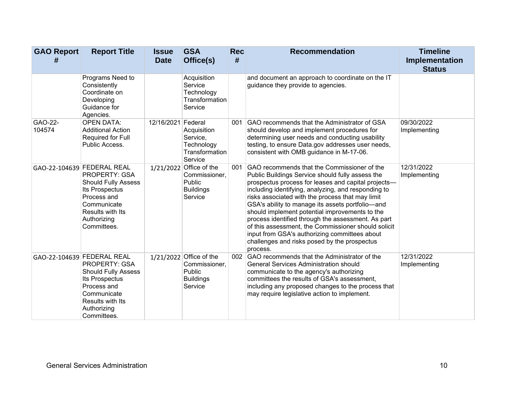| <b>GAO Report</b><br># | <b>Report Title</b>                                                                                                                                                                | <b>Issue</b><br><b>Date</b> | <b>GSA</b><br>Office(s)                                                           | <b>Rec</b><br># | <b>Recommendation</b>                                                                                                                                                                                                                                                                                                                                                                                                                                                                                                                                                                             | <b>Timeline</b><br>Implementation<br><b>Status</b> |
|------------------------|------------------------------------------------------------------------------------------------------------------------------------------------------------------------------------|-----------------------------|-----------------------------------------------------------------------------------|-----------------|---------------------------------------------------------------------------------------------------------------------------------------------------------------------------------------------------------------------------------------------------------------------------------------------------------------------------------------------------------------------------------------------------------------------------------------------------------------------------------------------------------------------------------------------------------------------------------------------------|----------------------------------------------------|
|                        | Programs Need to<br>Consistently<br>Coordinate on<br>Developing<br>Guidance for<br>Agencies.                                                                                       |                             | Acquisition<br>Service<br>Technology<br>Transformation<br>Service                 |                 | and document an approach to coordinate on the IT<br>guidance they provide to agencies.                                                                                                                                                                                                                                                                                                                                                                                                                                                                                                            |                                                    |
| GAO-22-<br>104574      | <b>OPEN DATA:</b><br><b>Additional Action</b><br>Required for Full<br>Public Access.                                                                                               | 12/16/2021 Federal          | Acquisition<br>Service,<br>Technology<br>Transformation<br>Service                | 001             | GAO recommends that the Administrator of GSA<br>should develop and implement procedures for<br>determining user needs and conducting usability<br>testing, to ensure Data.gov addresses user needs,<br>consistent with OMB guidance in M-17-06.                                                                                                                                                                                                                                                                                                                                                   | 09/30/2022<br>Implementing                         |
|                        | GAO-22-104639 FEDERAL REAL<br><b>PROPERTY: GSA</b><br><b>Should Fully Assess</b><br>Its Prospectus<br>Process and<br>Communicate<br>Results with Its<br>Authorizing<br>Committees. |                             | 1/21/2022 Office of the<br>Commissioner,<br>Public<br><b>Buildings</b><br>Service | 001             | GAO recommends that the Commissioner of the<br>Public Buildings Service should fully assess the<br>prospectus process for leases and capital projects-<br>including identifying, analyzing, and responding to<br>risks associated with the process that may limit<br>GSA's ability to manage its assets portfolio-and<br>should implement potential improvements to the<br>process identified through the assessment. As part<br>of this assessment, the Commissioner should solicit<br>input from GSA's authorizing committees about<br>challenges and risks posed by the prospectus<br>process. | 12/31/2022<br>Implementing                         |
|                        | GAO-22-104639 FEDERAL REAL<br>PROPERTY: GSA<br><b>Should Fully Assess</b><br>Its Prospectus<br>Process and<br>Communicate<br>Results with Its<br>Authorizing<br>Committees.        |                             | 1/21/2022 Office of the<br>Commissioner,<br>Public<br><b>Buildings</b><br>Service | 002             | GAO recommends that the Administrator of the<br><b>General Services Administration should</b><br>communicate to the agency's authorizing<br>committees the results of GSA's assessment,<br>including any proposed changes to the process that<br>may require legislative action to implement.                                                                                                                                                                                                                                                                                                     | 12/31/2022<br>Implementing                         |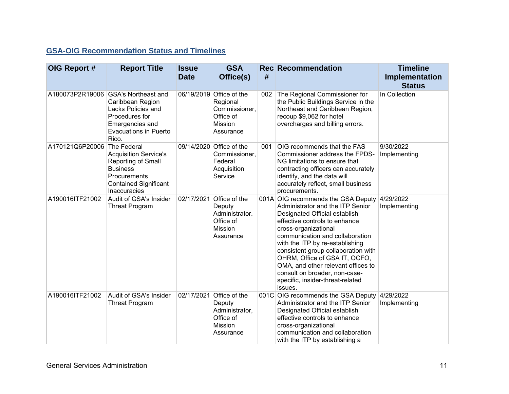### **GSA-OIG Recommendation Status and Timelines**

| OIG Report #    | <b>Report Title</b>                                                                                                                                       | <b>Issue</b><br><b>Date</b> | <b>GSA</b><br>Office(s)                                                                    | #   | <b>Rec</b> Recommendation                                                                                                                                                                                                                                                                                                                                                                                                            | <b>Timeline</b><br>Implementation<br><b>Status</b> |
|-----------------|-----------------------------------------------------------------------------------------------------------------------------------------------------------|-----------------------------|--------------------------------------------------------------------------------------------|-----|--------------------------------------------------------------------------------------------------------------------------------------------------------------------------------------------------------------------------------------------------------------------------------------------------------------------------------------------------------------------------------------------------------------------------------------|----------------------------------------------------|
| A180073P2R19006 | <b>GSA's Northeast and</b><br>Caribbean Region<br><b>Lacks Policies and</b><br>Procedures for<br>Emergencies and<br><b>Evacuations in Puerto</b><br>Rico. |                             | 06/19/2019 Office of the<br>Regional<br>Commissioner,<br>Office of<br>Mission<br>Assurance | 002 | The Regional Commissioner for<br>the Public Buildings Service in the<br>Northeast and Caribbean Region,<br>recoup \$9,062 for hotel<br>overcharges and billing errors.                                                                                                                                                                                                                                                               | In Collection                                      |
| A170121Q6P20006 | The Federal<br><b>Acquisition Service's</b><br>Reporting of Small<br><b>Business</b><br>Procurements<br><b>Contained Significant</b><br>Inaccuracies      |                             | 09/14/2020 Office of the<br>Commissioner,<br>Federal<br>Acquisition<br>Service             | 001 | OIG recommends that the FAS<br>Commissioner address the FPDS-<br>NG limitations to ensure that<br>contracting officers can accurately<br>identify, and the data will<br>accurately reflect, small business<br>procurements.                                                                                                                                                                                                          | 9/30/2022<br>Implementing                          |
| A190016ITF21002 | Audit of GSA's Insider<br><b>Threat Program</b>                                                                                                           | 02/17/2021                  | Office of the<br>Deputy<br>Administrator.<br>Office of<br>Mission<br>Assurance             |     | 001A OIG recommends the GSA Deputy<br>Administrator and the ITP Senior<br>Designated Official establish<br>effective controls to enhance<br>cross-organizational<br>communication and collaboration<br>with the ITP by re-establishing<br>consistent group collaboration with<br>OHRM, Office of GSA IT, OCFO,<br>OMA, and other relevant offices to<br>consult on broader, non-case-<br>specific, insider-threat-related<br>issues. | 4/29/2022<br>Implementing                          |
| A190016ITF21002 | Audit of GSA's Insider<br><b>Threat Program</b>                                                                                                           |                             | 02/17/2021 Office of the<br>Deputy<br>Administrator,<br>Office of<br>Mission<br>Assurance  |     | 001C OIG recommends the GSA Deputy<br>Administrator and the ITP Senior<br>Designated Official establish<br>effective controls to enhance<br>cross-organizational<br>communication and collaboration<br>with the ITP by establishing a                                                                                                                                                                                                | 4/29/2022<br>Implementing                          |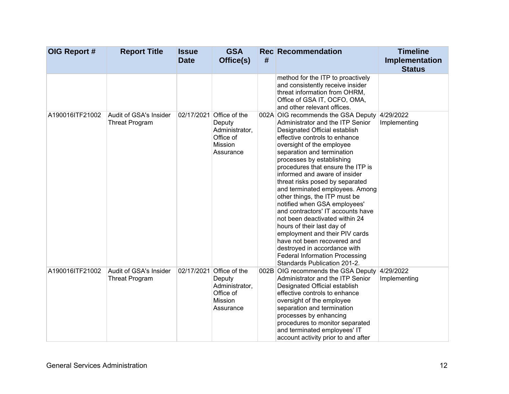| OIG Report #    | <b>Report Title</b>                             | <b>Issue</b><br><b>Date</b> | <b>GSA</b><br>Office(s)                                                                   | # | <b>Rec</b> Recommendation                                                                                                                                                                                                                                                                                                                                                                                                                                                                                                                                                                                                                                                                                                    | <b>Timeline</b><br>Implementation<br><b>Status</b> |
|-----------------|-------------------------------------------------|-----------------------------|-------------------------------------------------------------------------------------------|---|------------------------------------------------------------------------------------------------------------------------------------------------------------------------------------------------------------------------------------------------------------------------------------------------------------------------------------------------------------------------------------------------------------------------------------------------------------------------------------------------------------------------------------------------------------------------------------------------------------------------------------------------------------------------------------------------------------------------------|----------------------------------------------------|
|                 |                                                 |                             |                                                                                           |   | method for the ITP to proactively<br>and consistently receive insider<br>threat information from OHRM,<br>Office of GSA IT, OCFO, OMA,<br>and other relevant offices.                                                                                                                                                                                                                                                                                                                                                                                                                                                                                                                                                        |                                                    |
| A190016ITF21002 | Audit of GSA's Insider<br><b>Threat Program</b> |                             | 02/17/2021 Office of the<br>Deputy<br>Administrator,<br>Office of<br>Mission<br>Assurance |   | 002A OIG recommends the GSA Deputy<br>Administrator and the ITP Senior<br>Designated Official establish<br>effective controls to enhance<br>oversight of the employee<br>separation and termination<br>processes by establishing<br>procedures that ensure the ITP is<br>informed and aware of insider<br>threat risks posed by separated<br>and terminated employees. Among<br>other things, the ITP must be<br>notified when GSA employees'<br>and contractors' IT accounts have<br>not been deactivated within 24<br>hours of their last day of<br>employment and their PIV cards<br>have not been recovered and<br>destroyed in accordance with<br><b>Federal Information Processing</b><br>Standards Publication 201-2. | 4/29/2022<br>Implementing                          |
| A190016ITF21002 | Audit of GSA's Insider<br><b>Threat Program</b> |                             | 02/17/2021 Office of the<br>Deputy<br>Administrator,<br>Office of<br>Mission<br>Assurance |   | 002B OIG recommends the GSA Deputy<br>Administrator and the ITP Senior<br>Designated Official establish<br>effective controls to enhance<br>oversight of the employee<br>separation and termination<br>processes by enhancing<br>procedures to monitor separated<br>and terminated employees' IT<br>account activity prior to and after                                                                                                                                                                                                                                                                                                                                                                                      | 4/29/2022<br>Implementing                          |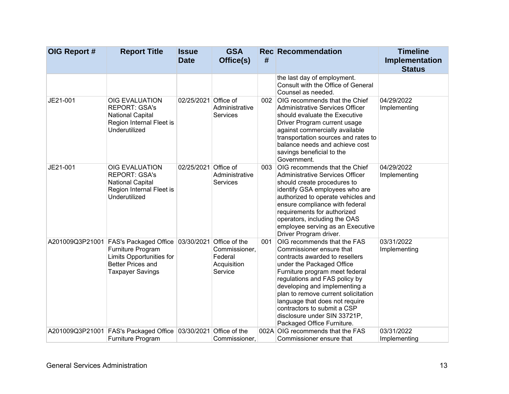| OIG Report # | <b>Report Title</b>                                                                                                                                      | <b>Issue</b><br><b>Date</b> | <b>GSA</b><br>Office(s)                                             | #   | <b>Rec Recommendation</b>                                                                                                                                                                                                                                                                                                                                                                        | <b>Timeline</b><br>Implementation |
|--------------|----------------------------------------------------------------------------------------------------------------------------------------------------------|-----------------------------|---------------------------------------------------------------------|-----|--------------------------------------------------------------------------------------------------------------------------------------------------------------------------------------------------------------------------------------------------------------------------------------------------------------------------------------------------------------------------------------------------|-----------------------------------|
|              |                                                                                                                                                          |                             |                                                                     |     |                                                                                                                                                                                                                                                                                                                                                                                                  | <b>Status</b>                     |
|              |                                                                                                                                                          |                             |                                                                     |     | the last day of employment.<br>Consult with the Office of General<br>Counsel as needed.                                                                                                                                                                                                                                                                                                          |                                   |
| JE21-001     | OIG EVALUATION<br><b>REPORT: GSA's</b><br><b>National Capital</b><br>Region Internal Fleet is<br>Underutilized                                           | 02/25/2021                  | Office of<br>Administrative<br><b>Services</b>                      | 002 | OIG recommends that the Chief<br>Administrative Services Officer<br>should evaluate the Executive<br>Driver Program current usage<br>against commercially available<br>transportation sources and rates to<br>balance needs and achieve cost<br>savings beneficial to the<br>Government.                                                                                                         | 04/29/2022<br>Implementing        |
| JE21-001     | <b>OIG EVALUATION</b><br><b>REPORT: GSA's</b><br><b>National Capital</b><br>Region Internal Fleet is<br>Underutilized                                    | 02/25/2021                  | Office of<br>Administrative<br><b>Services</b>                      | 003 | OIG recommends that the Chief<br>Administrative Services Officer<br>should create procedures to<br>identify GSA employees who are<br>authorized to operate vehicles and<br>ensure compliance with federal<br>requirements for authorized<br>operators, including the OAS<br>employee serving as an Executive<br>Driver Program driver.                                                           | 04/29/2022<br>Implementing        |
|              | A201009Q3P21001 FAS's Packaged Office 03/30/2021<br>Furniture Program<br>Limits Opportunities for<br><b>Better Prices and</b><br><b>Taxpayer Savings</b> |                             | Office of the<br>Commissioner,<br>Federal<br>Acquisition<br>Service | 001 | OIG recommends that the FAS<br>Commissioner ensure that<br>contracts awarded to resellers<br>under the Packaged Office<br>Furniture program meet federal<br>regulations and FAS policy by<br>developing and implementing a<br>plan to remove current solicitation<br>language that does not require<br>contractors to submit a CSP<br>disclosure under SIN 33721P,<br>Packaged Office Furniture. | 03/31/2022<br>Implementing        |
|              | A201009Q3P21001 FAS's Packaged Office 03/30/2021 Office of the<br><b>Furniture Program</b>                                                               |                             | Commissioner,                                                       |     | 002A OIG recommends that the FAS<br>Commissioner ensure that                                                                                                                                                                                                                                                                                                                                     | 03/31/2022<br>Implementing        |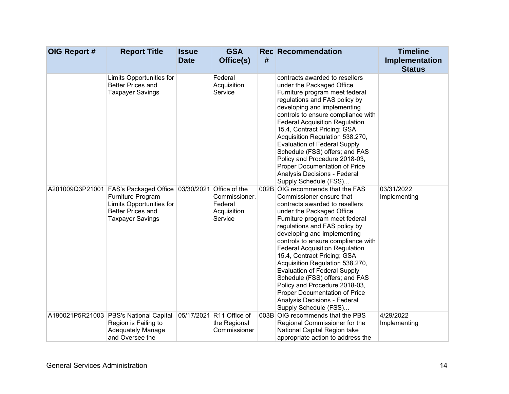| OIG Report # | <b>Report Title</b>                                                                                                                      | <b>Issue</b><br><b>Date</b> | <b>GSA</b><br>Office(s)                                                        | # | <b>Rec</b> Recommendation                                                                                                                                                                                                                                                                                                                                                                                                                                                                                                                                                          | <b>Timeline</b><br>Implementation |
|--------------|------------------------------------------------------------------------------------------------------------------------------------------|-----------------------------|--------------------------------------------------------------------------------|---|------------------------------------------------------------------------------------------------------------------------------------------------------------------------------------------------------------------------------------------------------------------------------------------------------------------------------------------------------------------------------------------------------------------------------------------------------------------------------------------------------------------------------------------------------------------------------------|-----------------------------------|
|              | Limits Opportunities for<br><b>Better Prices and</b><br><b>Taxpayer Savings</b>                                                          |                             | Federal<br>Acquisition<br>Service                                              |   | contracts awarded to resellers<br>under the Packaged Office<br>Furniture program meet federal<br>regulations and FAS policy by<br>developing and implementing<br>controls to ensure compliance with<br><b>Federal Acquisition Regulation</b><br>15.4, Contract Pricing; GSA<br>Acquisition Regulation 538.270,<br><b>Evaluation of Federal Supply</b><br>Schedule (FSS) offers; and FAS<br>Policy and Procedure 2018-03,<br>Proper Documentation of Price<br>Analysis Decisions - Federal<br>Supply Schedule (FSS)                                                                 | <b>Status</b>                     |
|              | A201009Q3P21001   FAS's Packaged Office<br>Furniture Program<br>Limits Opportunities for<br>Better Prices and<br><b>Taxpayer Savings</b> |                             | 03/30/2021 Office of the<br>Commissioner,<br>Federal<br>Acquisition<br>Service |   | 002B OIG recommends that the FAS<br>Commissioner ensure that<br>contracts awarded to resellers<br>under the Packaged Office<br>Furniture program meet federal<br>regulations and FAS policy by<br>developing and implementing<br>controls to ensure compliance with<br><b>Federal Acquisition Regulation</b><br>15.4, Contract Pricing; GSA<br>Acquisition Regulation 538.270,<br><b>Evaluation of Federal Supply</b><br>Schedule (FSS) offers; and FAS<br>Policy and Procedure 2018-03,<br>Proper Documentation of Price<br>Analysis Decisions - Federal<br>Supply Schedule (FSS) | 03/31/2022<br>Implementing        |
|              | A190021P5R21003 PBS's National Capital<br>Region is Failing to<br><b>Adequately Manage</b><br>and Oversee the                            |                             | 05/17/2021 R11 Office of<br>the Regional<br>Commissioner                       |   | 003B OIG recommends that the PBS<br>Regional Commissioner for the<br>National Capital Region take<br>appropriate action to address the                                                                                                                                                                                                                                                                                                                                                                                                                                             | 4/29/2022<br>Implementing         |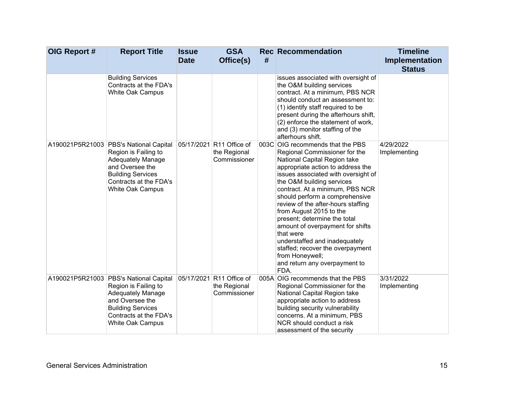| OIG Report # | <b>Report Title</b>                                                                                                                                                                            | <b>Issue</b><br><b>Date</b> | <b>GSA</b><br>Office(s)                                  | # | <b>Rec</b> Recommendation                                                                                                                                                                                                                                                                                                                                                                                                                                                                                                                                          | <b>Timeline</b><br>Implementation<br><b>Status</b> |
|--------------|------------------------------------------------------------------------------------------------------------------------------------------------------------------------------------------------|-----------------------------|----------------------------------------------------------|---|--------------------------------------------------------------------------------------------------------------------------------------------------------------------------------------------------------------------------------------------------------------------------------------------------------------------------------------------------------------------------------------------------------------------------------------------------------------------------------------------------------------------------------------------------------------------|----------------------------------------------------|
|              | <b>Building Services</b><br>Contracts at the FDA's<br>White Oak Campus                                                                                                                         |                             |                                                          |   | issues associated with oversight of<br>the O&M building services<br>contract. At a minimum, PBS NCR<br>should conduct an assessment to:<br>(1) identify staff required to be<br>present during the afterhours shift,<br>(2) enforce the statement of work,<br>and (3) monitor staffing of the<br>afterhours shift.                                                                                                                                                                                                                                                 |                                                    |
|              | A190021P5R21003 PBS's National Capital<br>Region is Failing to<br><b>Adequately Manage</b><br>and Oversee the<br><b>Building Services</b><br>Contracts at the FDA's<br><b>White Oak Campus</b> |                             | 05/17/2021 R11 Office of<br>the Regional<br>Commissioner |   | 003C OIG recommends that the PBS<br>Regional Commissioner for the<br>National Capital Region take<br>appropriate action to address the<br>issues associated with oversight of<br>the O&M building services<br>contract. At a minimum, PBS NCR<br>should perform a comprehensive<br>review of the after-hours staffing<br>from August 2015 to the<br>present; determine the total<br>amount of overpayment for shifts<br>that were<br>understaffed and inadequately<br>staffed; recover the overpayment<br>from Honeywell;<br>and return any overpayment to<br>FDA. | 4/29/2022<br>Implementing                          |
|              | A190021P5R21003 PBS's National Capital<br>Region is Failing to<br><b>Adequately Manage</b><br>and Oversee the<br><b>Building Services</b><br>Contracts at the FDA's<br>White Oak Campus        |                             | 05/17/2021 R11 Office of<br>the Regional<br>Commissioner |   | 005A OIG recommends that the PBS<br>Regional Commissioner for the<br>National Capital Region take<br>appropriate action to address<br>building security vulnerability<br>concerns. At a minimum, PBS<br>NCR should conduct a risk<br>assessment of the security                                                                                                                                                                                                                                                                                                    | 3/31/2022<br>Implementing                          |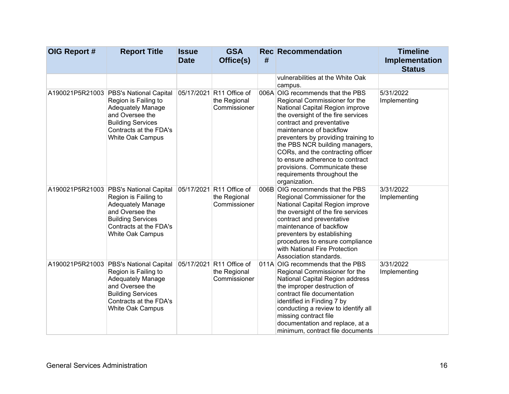| OIG Report # | <b>Report Title</b>                                                                                                                                                                     | <b>Issue</b><br><b>Date</b> | <b>GSA</b><br>Office(s)                                  | # | <b>Rec</b> Recommendation                                                                                                                                                                                                                                                                                                                                                                                                            | <b>Timeline</b><br>Implementation<br><b>Status</b> |
|--------------|-----------------------------------------------------------------------------------------------------------------------------------------------------------------------------------------|-----------------------------|----------------------------------------------------------|---|--------------------------------------------------------------------------------------------------------------------------------------------------------------------------------------------------------------------------------------------------------------------------------------------------------------------------------------------------------------------------------------------------------------------------------------|----------------------------------------------------|
|              |                                                                                                                                                                                         |                             |                                                          |   | vulnerabilities at the White Oak<br>campus.                                                                                                                                                                                                                                                                                                                                                                                          |                                                    |
|              | A190021P5R21003 PBS's National Capital<br>Region is Failing to<br><b>Adequately Manage</b><br>and Oversee the<br><b>Building Services</b><br>Contracts at the FDA's<br>White Oak Campus |                             | 05/17/2021 R11 Office of<br>the Regional<br>Commissioner |   | 006A OIG recommends that the PBS<br>Regional Commissioner for the<br>National Capital Region improve<br>the oversight of the fire services<br>contract and preventative<br>maintenance of backflow<br>preventers by providing training to<br>the PBS NCR building managers,<br>CORs, and the contracting officer<br>to ensure adherence to contract<br>provisions. Communicate these<br>requirements throughout the<br>organization. | 5/31/2022<br>Implementing                          |
|              | A190021P5R21003 PBS's National Capital<br>Region is Failing to<br><b>Adequately Manage</b><br>and Oversee the<br><b>Building Services</b><br>Contracts at the FDA's<br>White Oak Campus |                             | 05/17/2021 R11 Office of<br>the Regional<br>Commissioner |   | 006B OIG recommends that the PBS<br>Regional Commissioner for the<br>National Capital Region improve<br>the oversight of the fire services<br>contract and preventative<br>maintenance of backflow<br>preventers by establishing<br>procedures to ensure compliance<br>with National Fire Protection<br>Association standards.                                                                                                       | 3/31/2022<br>Implementing                          |
|              | A190021P5R21003 PBS's National Capital<br>Region is Failing to<br><b>Adequately Manage</b><br>and Oversee the<br><b>Building Services</b><br>Contracts at the FDA's<br>White Oak Campus |                             | 05/17/2021 R11 Office of<br>the Regional<br>Commissioner |   | 011A OIG recommends that the PBS<br>Regional Commissioner for the<br>National Capital Region address<br>the improper destruction of<br>contract file documentation<br>identified in Finding 7 by<br>conducting a review to identify all<br>missing contract file<br>documentation and replace, at a<br>minimum, contract file documents                                                                                              | 3/31/2022<br>Implementing                          |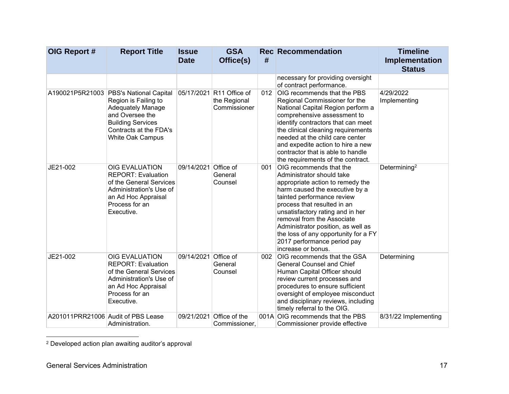| OIG Report #                       | <b>Report Title</b>                                                                                                                                                                     | <b>Issue</b><br><b>Date</b> | <b>GSA</b><br>Office(s)                                  | #   | <b>Rec Recommendation</b>                                                                                                                                                                                                                                                                                                                                                                    | <b>Timeline</b><br>Implementation<br><b>Status</b> |
|------------------------------------|-----------------------------------------------------------------------------------------------------------------------------------------------------------------------------------------|-----------------------------|----------------------------------------------------------|-----|----------------------------------------------------------------------------------------------------------------------------------------------------------------------------------------------------------------------------------------------------------------------------------------------------------------------------------------------------------------------------------------------|----------------------------------------------------|
|                                    |                                                                                                                                                                                         |                             |                                                          |     | necessary for providing oversight<br>of contract performance.                                                                                                                                                                                                                                                                                                                                |                                                    |
|                                    | A190021P5R21003 PBS's National Capital<br>Region is Failing to<br><b>Adequately Manage</b><br>and Oversee the<br><b>Building Services</b><br>Contracts at the FDA's<br>White Oak Campus |                             | 05/17/2021 R11 Office of<br>the Regional<br>Commissioner | 012 | OIG recommends that the PBS<br>Regional Commissioner for the<br>National Capital Region perform a<br>comprehensive assessment to<br>identify contractors that can meet<br>the clinical cleaning requirements<br>needed at the child care center<br>and expedite action to hire a new<br>contractor that is able to handle<br>the requirements of the contract.                               | 4/29/2022<br>Implementing                          |
| JE21-002                           | <b>OIG EVALUATION</b><br><b>REPORT: Evaluation</b><br>of the General Services<br>Administration's Use of<br>an Ad Hoc Appraisal<br>Process for an<br>Executive.                         | 09/14/2021 Office of        | General<br>Counsel                                       | 001 | OIG recommends that the<br>Administrator should take<br>appropriate action to remedy the<br>harm caused the executive by a<br>tainted performance review<br>process that resulted in an<br>unsatisfactory rating and in her<br>removal from the Associate<br>Administrator position, as well as<br>the loss of any opportunity for a FY<br>2017 performance period pay<br>increase or bonus. | Determining <sup>2</sup>                           |
| JE21-002                           | <b>OIG EVALUATION</b><br><b>REPORT: Evaluation</b><br>of the General Services<br>Administration's Use of<br>an Ad Hoc Appraisal<br>Process for an<br>Executive.                         | 09/14/2021 Office of        | General<br>Counsel                                       | 002 | OIG recommends that the GSA<br><b>General Counsel and Chief</b><br>Human Capital Officer should<br>review current processes and<br>procedures to ensure sufficient<br>oversight of employee misconduct<br>and disciplinary reviews, including<br>timely referral to the OIG.                                                                                                                 | Determining                                        |
| A201011PRR21006 Audit of PBS Lease | Administration.                                                                                                                                                                         | 09/21/2021                  | Office of the<br>Commissioner,                           |     | 001A OIG recommends that the PBS<br>Commissioner provide effective                                                                                                                                                                                                                                                                                                                           | 8/31/22 Implementing                               |

<sup>2</sup> Developed action plan awaiting auditor's approval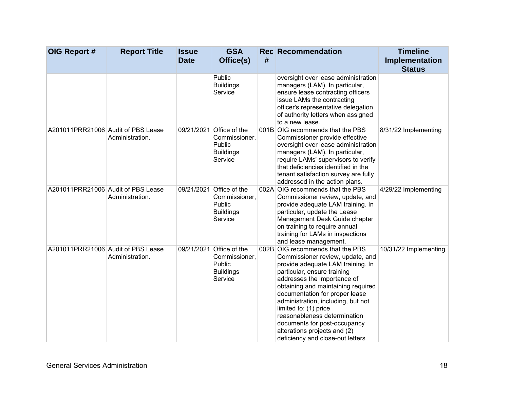| OIG Report #                       | <b>Report Title</b> | <b>Issue</b><br><b>Date</b> | <b>GSA</b><br>Office(s)                                                            | # | <b>Rec</b> Recommendation                                                                                                                                                                                                                                                                                                                                                                                                                          | <b>Timeline</b><br>Implementation<br><b>Status</b> |
|------------------------------------|---------------------|-----------------------------|------------------------------------------------------------------------------------|---|----------------------------------------------------------------------------------------------------------------------------------------------------------------------------------------------------------------------------------------------------------------------------------------------------------------------------------------------------------------------------------------------------------------------------------------------------|----------------------------------------------------|
|                                    |                     |                             | Public<br><b>Buildings</b><br>Service                                              |   | oversight over lease administration<br>managers (LAM). In particular,<br>ensure lease contracting officers<br>issue LAMs the contracting<br>officer's representative delegation<br>of authority letters when assigned<br>to a new lease.                                                                                                                                                                                                           |                                                    |
| A201011PRR21006 Audit of PBS Lease | Administration.     | 09/21/2021                  | Office of the<br>Commissioner,<br>Public<br><b>Buildings</b><br>Service            |   | 001B OIG recommends that the PBS<br>Commissioner provide effective<br>oversight over lease administration<br>managers (LAM). In particular,<br>require LAMs' supervisors to verify<br>that deficiencies identified in the<br>tenant satisfaction survey are fully<br>addressed in the action plans.                                                                                                                                                | 8/31/22 Implementing                               |
| A201011PRR21006 Audit of PBS Lease | Administration.     |                             | 09/21/2021 Office of the<br>Commissioner,<br>Public<br><b>Buildings</b><br>Service |   | 002A OIG recommends that the PBS<br>Commissioner review, update, and<br>provide adequate LAM training. In<br>particular, update the Lease<br>Management Desk Guide chapter<br>on training to require annual<br>training for LAMs in inspections<br>and lease management.                                                                                                                                                                           | 4/29/22 Implementing                               |
| A201011PRR21006 Audit of PBS Lease | Administration.     |                             | 09/21/2021 Office of the<br>Commissioner,<br>Public<br><b>Buildings</b><br>Service |   | 002B OIG recommends that the PBS<br>Commissioner review, update, and<br>provide adequate LAM training. In<br>particular, ensure training<br>addresses the importance of<br>obtaining and maintaining required<br>documentation for proper lease<br>administration, including, but not<br>limited to: (1) price<br>reasonableness determination<br>documents for post-occupancy<br>alterations projects and (2)<br>deficiency and close-out letters | 10/31/22 Implementing                              |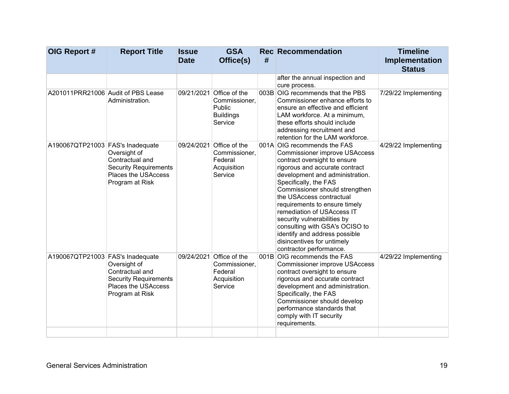| OIG Report #                       | <b>Report Title</b>                                                                                              | <b>Issue</b><br><b>Date</b> | <b>GSA</b><br>Office(s)                                                            | # | <b>Rec Recommendation</b>                                                                                                                                                                                                                                                                                                                                                                                                                                                                 | <b>Timeline</b><br>Implementation |
|------------------------------------|------------------------------------------------------------------------------------------------------------------|-----------------------------|------------------------------------------------------------------------------------|---|-------------------------------------------------------------------------------------------------------------------------------------------------------------------------------------------------------------------------------------------------------------------------------------------------------------------------------------------------------------------------------------------------------------------------------------------------------------------------------------------|-----------------------------------|
|                                    |                                                                                                                  |                             |                                                                                    |   |                                                                                                                                                                                                                                                                                                                                                                                                                                                                                           | <b>Status</b>                     |
|                                    |                                                                                                                  |                             |                                                                                    |   | after the annual inspection and<br>cure process.                                                                                                                                                                                                                                                                                                                                                                                                                                          |                                   |
| A201011PRR21006 Audit of PBS Lease | Administration.                                                                                                  |                             | 09/21/2021 Office of the<br>Commissioner,<br>Public<br><b>Buildings</b><br>Service |   | 003B OIG recommends that the PBS<br>Commissioner enhance efforts to<br>ensure an effective and efficient<br>LAM workforce. At a minimum,<br>these efforts should include<br>addressing recruitment and<br>retention for the LAM workforce.                                                                                                                                                                                                                                                | 7/29/22 Implementing              |
| A190067QTP21003 FAS's Inadequate   | Oversight of<br>Contractual and<br><b>Security Requirements</b><br>Places the USAccess<br>Program at Risk        | 09/24/2021                  | Office of the<br>Commissioner,<br>Federal<br>Acquisition<br>Service                |   | 001A OIG recommends the FAS<br><b>Commissioner improve USAccess</b><br>contract oversight to ensure<br>rigorous and accurate contract<br>development and administration.<br>Specifically, the FAS<br>Commissioner should strengthen<br>the USAccess contractual<br>requirements to ensure timely<br>remediation of USAccess IT<br>security vulnerabilities by<br>consulting with GSA's OCISO to<br>identify and address possible<br>disincentives for untimely<br>contractor performance. | 4/29/22 Implementing              |
| A190067QTP21003 FAS's Inadequate   | Oversight of<br>Contractual and<br><b>Security Requirements</b><br><b>Places the USAccess</b><br>Program at Risk |                             | 09/24/2021 Office of the<br>Commissioner,<br>Federal<br>Acquisition<br>Service     |   | 001B OIG recommends the FAS<br><b>Commissioner improve USAccess</b><br>contract oversight to ensure<br>rigorous and accurate contract<br>development and administration.<br>Specifically, the FAS<br>Commissioner should develop<br>performance standards that<br>comply with IT security<br>requirements.                                                                                                                                                                                | 4/29/22 Implementing              |
|                                    |                                                                                                                  |                             |                                                                                    |   |                                                                                                                                                                                                                                                                                                                                                                                                                                                                                           |                                   |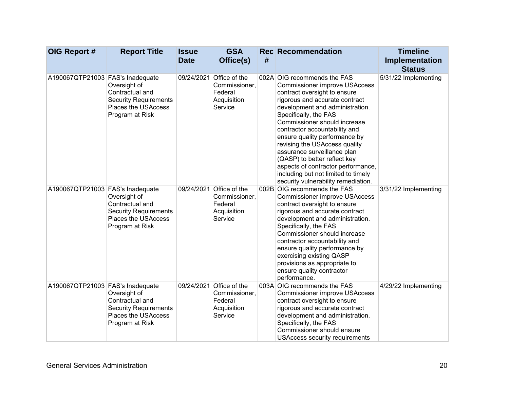| OIG Report #                     | <b>Report Title</b>                                                                                              | <b>Issue</b><br><b>Date</b> | <b>GSA</b><br>Office(s)                                                        | # | <b>Rec Recommendation</b>                                                                                                                                                                                                                                                                                                                                                                                                                                                                                               | <b>Timeline</b><br>Implementation<br><b>Status</b> |
|----------------------------------|------------------------------------------------------------------------------------------------------------------|-----------------------------|--------------------------------------------------------------------------------|---|-------------------------------------------------------------------------------------------------------------------------------------------------------------------------------------------------------------------------------------------------------------------------------------------------------------------------------------------------------------------------------------------------------------------------------------------------------------------------------------------------------------------------|----------------------------------------------------|
| A190067QTP21003 FAS's Inadequate | Oversight of<br>Contractual and<br><b>Security Requirements</b><br><b>Places the USAccess</b><br>Program at Risk |                             | 09/24/2021 Office of the<br>Commissioner,<br>Federal<br>Acquisition<br>Service |   | 002A OIG recommends the FAS<br><b>Commissioner improve USAccess</b><br>contract oversight to ensure<br>rigorous and accurate contract<br>development and administration.<br>Specifically, the FAS<br>Commissioner should increase<br>contractor accountability and<br>ensure quality performance by<br>revising the USAccess quality<br>assurance surveillance plan<br>(QASP) to better reflect key<br>aspects of contractor performance,<br>including but not limited to timely<br>security vulnerability remediation. | 5/31/22 Implementing                               |
| A190067QTP21003 FAS's Inadequate | Oversight of<br>Contractual and<br><b>Security Requirements</b><br><b>Places the USAccess</b><br>Program at Risk |                             | 09/24/2021 Office of the<br>Commissioner,<br>Federal<br>Acquisition<br>Service |   | 002B OIG recommends the FAS<br><b>Commissioner improve USAccess</b><br>contract oversight to ensure<br>rigorous and accurate contract<br>development and administration.<br>Specifically, the FAS<br>Commissioner should increase<br>contractor accountability and<br>ensure quality performance by<br>exercising existing QASP<br>provisions as appropriate to<br>ensure quality contractor<br>performance.                                                                                                            | 3/31/22 Implementing                               |
| A190067QTP21003 FAS's Inadequate | Oversight of<br>Contractual and<br><b>Security Requirements</b><br><b>Places the USAccess</b><br>Program at Risk |                             | 09/24/2021 Office of the<br>Commissioner,<br>Federal<br>Acquisition<br>Service |   | 003A OIG recommends the FAS<br><b>Commissioner improve USAccess</b><br>contract oversight to ensure<br>rigorous and accurate contract<br>development and administration.<br>Specifically, the FAS<br>Commissioner should ensure<br><b>USAccess security requirements</b>                                                                                                                                                                                                                                                | 4/29/22 Implementing                               |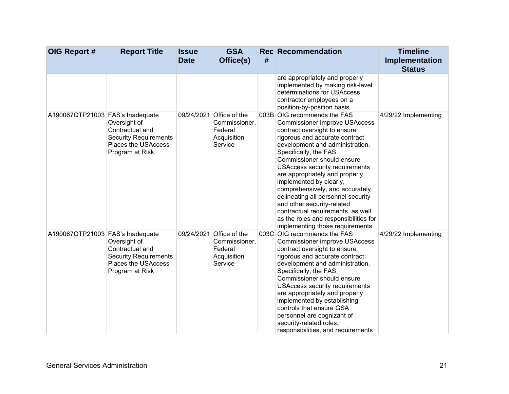| OIG Report #                     | <b>Report Title</b>                                                                                       | <b>Issue</b><br><b>Date</b> | <b>GSA</b><br>Office(s)                                                        | # | <b>Rec</b> Recommendation                                                                                                                                                                                                                                                                                                                                                                                                                                                                                                                                      | <b>Timeline</b><br>Implementation<br><b>Status</b> |
|----------------------------------|-----------------------------------------------------------------------------------------------------------|-----------------------------|--------------------------------------------------------------------------------|---|----------------------------------------------------------------------------------------------------------------------------------------------------------------------------------------------------------------------------------------------------------------------------------------------------------------------------------------------------------------------------------------------------------------------------------------------------------------------------------------------------------------------------------------------------------------|----------------------------------------------------|
|                                  |                                                                                                           |                             |                                                                                |   | are appropriately and properly<br>implemented by making risk-level<br>determinations for USAccess<br>contractor employees on a<br>position-by-position basis.                                                                                                                                                                                                                                                                                                                                                                                                  |                                                    |
| A190067QTP21003 FAS's Inadequate | Oversight of<br>Contractual and<br><b>Security Requirements</b><br>Places the USAccess<br>Program at Risk |                             | 09/24/2021 Office of the<br>Commissioner,<br>Federal<br>Acquisition<br>Service |   | 003B OIG recommends the FAS<br><b>Commissioner improve USAccess</b><br>contract oversight to ensure<br>rigorous and accurate contract<br>development and administration.<br>Specifically, the FAS<br>Commissioner should ensure<br><b>USAccess security requirements</b><br>are appropriately and properly<br>implemented by clearly,<br>comprehensively, and accurately<br>delineating all personnel security<br>and other security-related<br>contractual requirements, as well<br>as the roles and responsibilities for<br>implementing those requirements. | 4/29/22 Implementing                               |
| A190067QTP21003 FAS's Inadequate | Oversight of<br>Contractual and<br><b>Security Requirements</b><br>Places the USAccess<br>Program at Risk |                             | 09/24/2021 Office of the<br>Commissioner,<br>Federal<br>Acquisition<br>Service |   | 003C OIG recommends the FAS<br><b>Commissioner improve USAccess</b><br>contract oversight to ensure<br>rigorous and accurate contract<br>development and administration.<br>Specifically, the FAS<br>Commissioner should ensure<br><b>USAccess security requirements</b><br>are appropriately and properly<br>implemented by establishing<br>controls that ensure GSA<br>personnel are cognizant of<br>security-related roles,<br>responsibilities, and requirements                                                                                           | 4/29/22 Implementing                               |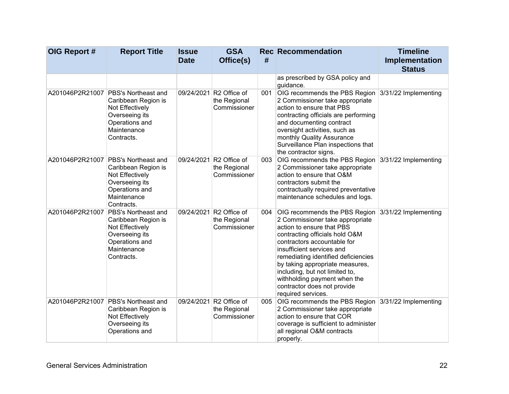| OIG Report #    | <b>Report Title</b>                                                                                                                              | <b>Issue</b><br><b>Date</b> | <b>GSA</b><br>Office(s)                                  | #   | <b>Rec</b> Recommendation                                                                                                                                                                                                                                                                                                                                                                                         | <b>Timeline</b><br>Implementation<br><b>Status</b> |
|-----------------|--------------------------------------------------------------------------------------------------------------------------------------------------|-----------------------------|----------------------------------------------------------|-----|-------------------------------------------------------------------------------------------------------------------------------------------------------------------------------------------------------------------------------------------------------------------------------------------------------------------------------------------------------------------------------------------------------------------|----------------------------------------------------|
|                 |                                                                                                                                                  |                             |                                                          |     | as prescribed by GSA policy and<br>guidance.                                                                                                                                                                                                                                                                                                                                                                      |                                                    |
|                 | A201046P2R21007   PBS's Northeast and<br>Caribbean Region is<br>Not Effectively<br>Overseeing its<br>Operations and<br>Maintenance<br>Contracts. |                             | 09/24/2021 R2 Office of<br>the Regional<br>Commissioner  | 001 | OIG recommends the PBS Region 3/31/22 Implementing<br>2 Commissioner take appropriate<br>action to ensure that PBS<br>contracting officials are performing<br>and documenting contract<br>oversight activities, such as<br>monthly Quality Assurance<br>Surveillance Plan inspections that<br>the contractor signs.                                                                                               |                                                    |
| A201046P2R21007 | PBS's Northeast and<br>Caribbean Region is<br>Not Effectively<br>Overseeing its<br>Operations and<br>Maintenance<br>Contracts.                   | 09/24/2021                  | R <sub>2</sub> Office of<br>the Regional<br>Commissioner | 003 | OIG recommends the PBS Region 3/31/22 Implementing<br>2 Commissioner take appropriate<br>action to ensure that O&M<br>contractors submit the<br>contractually required preventative<br>maintenance schedules and logs.                                                                                                                                                                                            |                                                    |
| A201046P2R21007 | <b>PBS's Northeast and</b><br>Caribbean Region is<br>Not Effectively<br>Overseeing its<br>Operations and<br>Maintenance<br>Contracts.            |                             | 09/24/2021 R2 Office of<br>the Regional<br>Commissioner  | 004 | OIG recommends the PBS Region 3/31/22 Implementing<br>2 Commissioner take appropriate<br>action to ensure that PBS<br>contracting officials hold O&M<br>contractors accountable for<br>insufficient services and<br>remediating identified deficiencies<br>by taking appropriate measures,<br>including, but not limited to,<br>withholding payment when the<br>contractor does not provide<br>required services. |                                                    |
| A201046P2R21007 | PBS's Northeast and<br>Caribbean Region is<br>Not Effectively<br>Overseeing its<br>Operations and                                                |                             | 09/24/2021 R2 Office of<br>the Regional<br>Commissioner  | 005 | OIG recommends the PBS Region 3/31/22 Implementing<br>2 Commissioner take appropriate<br>action to ensure that COR<br>coverage is sufficient to administer<br>all regional O&M contracts<br>properly.                                                                                                                                                                                                             |                                                    |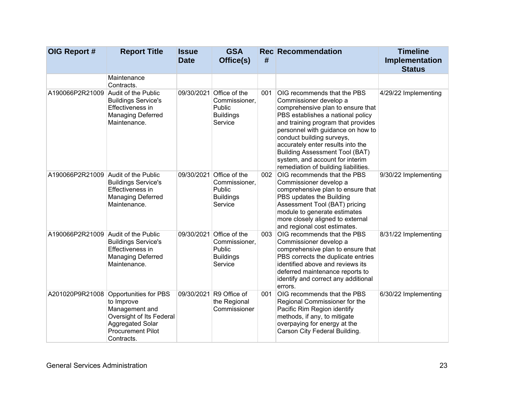| OIG Report #                        | <b>Report Title</b>                                                                                                                             | <b>Issue</b><br><b>Date</b> | <b>GSA</b><br>Office(s)                                                            | #   | <b>Rec</b> Recommendation                                                                                                                                                                                                                                                                                                                                                                        | <b>Timeline</b><br>Implementation<br><b>Status</b> |
|-------------------------------------|-------------------------------------------------------------------------------------------------------------------------------------------------|-----------------------------|------------------------------------------------------------------------------------|-----|--------------------------------------------------------------------------------------------------------------------------------------------------------------------------------------------------------------------------------------------------------------------------------------------------------------------------------------------------------------------------------------------------|----------------------------------------------------|
|                                     | Maintenance<br>Contracts.                                                                                                                       |                             |                                                                                    |     |                                                                                                                                                                                                                                                                                                                                                                                                  |                                                    |
| A190066P2R21009                     | Audit of the Public<br><b>Buildings Service's</b><br><b>Effectiveness in</b><br><b>Managing Deferred</b><br>Maintenance.                        |                             | 09/30/2021 Office of the<br>Commissioner,<br>Public<br><b>Buildings</b><br>Service | 001 | OIG recommends that the PBS<br>Commissioner develop a<br>comprehensive plan to ensure that<br>PBS establishes a national policy<br>and training program that provides<br>personnel with guidance on how to<br>conduct building surveys,<br>accurately enter results into the<br><b>Building Assessment Tool (BAT)</b><br>system, and account for interim<br>remediation of building liabilities. | 4/29/22 Implementing                               |
| A190066P2R21009 Audit of the Public | <b>Buildings Service's</b><br><b>Effectiveness in</b><br><b>Managing Deferred</b><br>Maintenance.                                               |                             | 09/30/2021 Office of the<br>Commissioner,<br>Public<br><b>Buildings</b><br>Service | 002 | OIG recommends that the PBS<br>Commissioner develop a<br>comprehensive plan to ensure that<br>PBS updates the Building<br>Assessment Tool (BAT) pricing<br>module to generate estimates<br>more closely aligned to external<br>and regional cost estimates.                                                                                                                                      | 9/30/22 Implementing                               |
| A190066P2R21009 Audit of the Public | <b>Buildings Service's</b><br>Effectiveness in<br><b>Managing Deferred</b><br>Maintenance.                                                      |                             | 09/30/2021 Office of the<br>Commissioner,<br>Public<br><b>Buildings</b><br>Service | 003 | OIG recommends that the PBS<br>Commissioner develop a<br>comprehensive plan to ensure that<br>PBS corrects the duplicate entries<br>identified above and reviews its<br>deferred maintenance reports to<br>identify and correct any additional<br>errors.                                                                                                                                        | 8/31/22 Implementing                               |
| A201020P9R21008                     | Opportunities for PBS<br>to Improve<br>Management and<br>Oversight of Its Federal<br>Aggregated Solar<br><b>Procurement Pilot</b><br>Contracts. |                             | 09/30/2021 R9 Office of<br>the Regional<br>Commissioner                            | 001 | OIG recommends that the PBS<br>Regional Commissioner for the<br>Pacific Rim Region identify<br>methods, if any, to mitigate<br>overpaying for energy at the<br>Carson City Federal Building.                                                                                                                                                                                                     | 6/30/22 Implementing                               |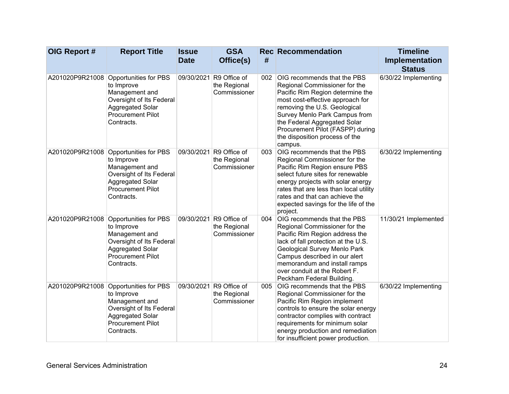| OIG Report #    | <b>Report Title</b>                                                                                                                                    | <b>Issue</b><br><b>Date</b> | <b>GSA</b><br>Office(s)                                 | #   | <b>Rec Recommendation</b>                                                                                                                                                                                                                                                                                                     | <b>Timeline</b><br>Implementation     |
|-----------------|--------------------------------------------------------------------------------------------------------------------------------------------------------|-----------------------------|---------------------------------------------------------|-----|-------------------------------------------------------------------------------------------------------------------------------------------------------------------------------------------------------------------------------------------------------------------------------------------------------------------------------|---------------------------------------|
| A201020P9R21008 | Opportunities for PBS<br>to Improve<br>Management and<br>Oversight of Its Federal<br><b>Aggregated Solar</b><br><b>Procurement Pilot</b><br>Contracts. |                             | 09/30/2021 R9 Office of<br>the Regional<br>Commissioner | 002 | <b>OIG recommends that the PBS</b><br>Regional Commissioner for the<br>Pacific Rim Region determine the<br>most cost-effective approach for<br>removing the U.S. Geological<br>Survey Menlo Park Campus from<br>the Federal Aggregated Solar<br>Procurement Pilot (FASPP) during<br>the disposition process of the<br>campus. | <b>Status</b><br>6/30/22 Implementing |
| A201020P9R21008 | Opportunities for PBS<br>to Improve<br>Management and<br>Oversight of Its Federal<br>Aggregated Solar<br><b>Procurement Pilot</b><br>Contracts.        |                             | 09/30/2021 R9 Office of<br>the Regional<br>Commissioner | 003 | OIG recommends that the PBS<br>Regional Commissioner for the<br>Pacific Rim Region ensure PBS<br>select future sites for renewable<br>energy projects with solar energy<br>rates that are less than local utility<br>rates and that can achieve the<br>expected savings for the life of the<br>project.                       | 6/30/22 Implementing                  |
| A201020P9R21008 | Opportunities for PBS<br>to Improve<br>Management and<br>Oversight of Its Federal<br>Aggregated Solar<br><b>Procurement Pilot</b><br>Contracts.        |                             | 09/30/2021 R9 Office of<br>the Regional<br>Commissioner | 004 | OIG recommends that the PBS<br>Regional Commissioner for the<br>Pacific Rim Region address the<br>lack of fall protection at the U.S.<br>Geological Survey Menlo Park<br>Campus described in our alert<br>memorandum and install ramps<br>over conduit at the Robert F.<br>Peckham Federal Building.                          | 11/30/21 Implemented                  |
| A201020P9R21008 | Opportunities for PBS<br>to Improve<br>Management and<br>Oversight of Its Federal<br>Aggregated Solar<br><b>Procurement Pilot</b><br>Contracts.        |                             | 09/30/2021 R9 Office of<br>the Regional<br>Commissioner | 005 | OIG recommends that the PBS<br>Regional Commissioner for the<br>Pacific Rim Region implement<br>controls to ensure the solar energy<br>contractor complies with contract<br>requirements for minimum solar<br>energy production and remediation<br>for insufficient power production.                                         | 6/30/22 Implementing                  |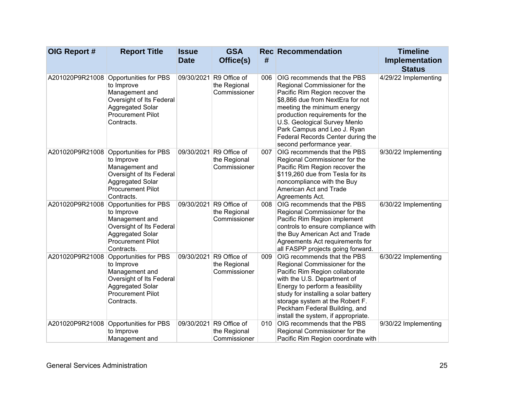| OIG Report #    | <b>Report Title</b>                                                                                                                             | <b>Issue</b><br><b>Date</b> | <b>GSA</b><br>Office(s)                                 | #   | <b>Rec Recommendation</b>                                                                                                                                                                                                                                                                                                           | <b>Timeline</b><br>Implementation     |
|-----------------|-------------------------------------------------------------------------------------------------------------------------------------------------|-----------------------------|---------------------------------------------------------|-----|-------------------------------------------------------------------------------------------------------------------------------------------------------------------------------------------------------------------------------------------------------------------------------------------------------------------------------------|---------------------------------------|
| A201020P9R21008 | Opportunities for PBS<br>to Improve<br>Management and<br>Oversight of Its Federal<br>Aggregated Solar<br><b>Procurement Pilot</b><br>Contracts. |                             | 09/30/2021 R9 Office of<br>the Regional<br>Commissioner | 006 | OIG recommends that the PBS<br>Regional Commissioner for the<br>Pacific Rim Region recover the<br>\$8,866 due from NextEra for not<br>meeting the minimum energy<br>production requirements for the<br>U.S. Geological Survey Menlo<br>Park Campus and Leo J. Ryan<br>Federal Records Center during the<br>second performance year. | <b>Status</b><br>4/29/22 Implementing |
| A201020P9R21008 | Opportunities for PBS<br>to Improve<br>Management and<br>Oversight of Its Federal<br>Aggregated Solar<br><b>Procurement Pilot</b><br>Contracts. |                             | 09/30/2021 R9 Office of<br>the Regional<br>Commissioner | 007 | OIG recommends that the PBS<br>Regional Commissioner for the<br>Pacific Rim Region recover the<br>\$119,260 due from Tesla for its<br>noncompliance with the Buy<br>American Act and Trade<br>Agreements Act.                                                                                                                       | 9/30/22 Implementing                  |
| A201020P9R21008 | Opportunities for PBS<br>to Improve<br>Management and<br>Oversight of Its Federal<br>Aggregated Solar<br><b>Procurement Pilot</b><br>Contracts. |                             | 09/30/2021 R9 Office of<br>the Regional<br>Commissioner | 008 | OIG recommends that the PBS<br>Regional Commissioner for the<br>Pacific Rim Region implement<br>controls to ensure compliance with<br>the Buy American Act and Trade<br>Agreements Act requirements for<br>all FASPP projects going forward.                                                                                        | 6/30/22 Implementing                  |
| A201020P9R21008 | Opportunities for PBS<br>to Improve<br>Management and<br>Oversight of Its Federal<br>Aggregated Solar<br><b>Procurement Pilot</b><br>Contracts. |                             | 09/30/2021 R9 Office of<br>the Regional<br>Commissioner | 009 | OIG recommends that the PBS<br>Regional Commissioner for the<br>Pacific Rim Region collaborate<br>with the U.S. Department of<br>Energy to perform a feasibility<br>study for installing a solar battery<br>storage system at the Robert F.<br>Peckham Federal Building, and<br>install the system, if appropriate.                 | 6/30/22 Implementing                  |
| A201020P9R21008 | Opportunities for PBS<br>to Improve<br>Management and                                                                                           |                             | 09/30/2021 R9 Office of<br>the Regional<br>Commissioner | 010 | OIG recommends that the PBS<br>Regional Commissioner for the<br>Pacific Rim Region coordinate with                                                                                                                                                                                                                                  | 9/30/22 Implementing                  |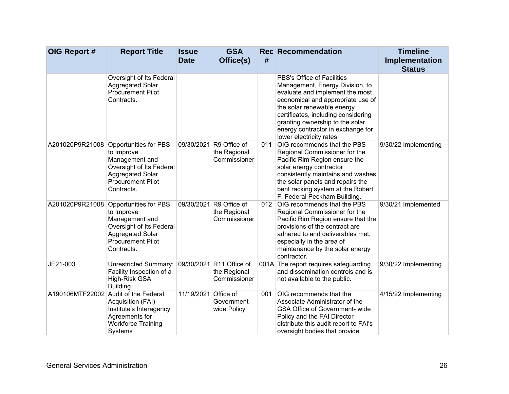| OIG Report #    | <b>Report Title</b>                                                                                                                             | <b>Issue</b><br><b>Date</b> | <b>GSA</b><br>Office(s)                                  | #   | <b>Rec Recommendation</b>                                                                                                                                                                                                                                                                                      | <b>Timeline</b><br>Implementation<br><b>Status</b> |
|-----------------|-------------------------------------------------------------------------------------------------------------------------------------------------|-----------------------------|----------------------------------------------------------|-----|----------------------------------------------------------------------------------------------------------------------------------------------------------------------------------------------------------------------------------------------------------------------------------------------------------------|----------------------------------------------------|
|                 | Oversight of Its Federal<br>Aggregated Solar<br><b>Procurement Pilot</b><br>Contracts.                                                          |                             |                                                          |     | PBS's Office of Facilities<br>Management, Energy Division, to<br>evaluate and implement the most<br>economical and appropriate use of<br>the solar renewable energy<br>certificates, including considering<br>granting ownership to the solar<br>energy contractor in exchange for<br>lower electricity rates. |                                                    |
| A201020P9R21008 | Opportunities for PBS<br>to Improve<br>Management and<br>Oversight of Its Federal<br>Aggregated Solar<br><b>Procurement Pilot</b><br>Contracts. |                             | 09/30/2021 R9 Office of<br>the Regional<br>Commissioner  | 011 | OIG recommends that the PBS<br>Regional Commissioner for the<br>Pacific Rim Region ensure the<br>solar energy contractor<br>consistently maintains and washes<br>the solar panels and repairs the<br>bent racking system at the Robert<br>F. Federal Peckham Building.                                         | 9/30/22 Implementing                               |
| A201020P9R21008 | Opportunities for PBS<br>to Improve<br>Management and<br>Oversight of Its Federal<br>Aggregated Solar<br><b>Procurement Pilot</b><br>Contracts. |                             | 09/30/2021 R9 Office of<br>the Regional<br>Commissioner  |     | 012 OIG recommends that the PBS<br>Regional Commissioner for the<br>Pacific Rim Region ensure that the<br>provisions of the contract are<br>adhered to and deliverables met,<br>especially in the area of<br>maintenance by the solar energy<br>contractor.                                                    | 9/30/21 Implemented                                |
| JE21-003        | <b>Unrestricted Summary:</b><br>Facility Inspection of a<br>High-Risk GSA<br><b>Building</b>                                                    |                             | 09/30/2021 R11 Office of<br>the Regional<br>Commissioner |     | 001A The report requires safeguarding<br>and dissemination controls and is<br>not available to the public.                                                                                                                                                                                                     | 9/30/22 Implementing                               |
| A190106MTF22002 | Audit of the Federal<br>Acquisition (FAI)<br>Institute's Interagency<br>Agreements for<br><b>Workforce Training</b><br>Systems                  | 11/19/2021 Office of        | Government-<br>wide Policy                               | 001 | OIG recommends that the<br>Associate Administrator of the<br>GSA Office of Government- wide<br>Policy and the FAI Director<br>distribute this audit report to FAI's<br>oversight bodies that provide                                                                                                           | 4/15/22 Implementing                               |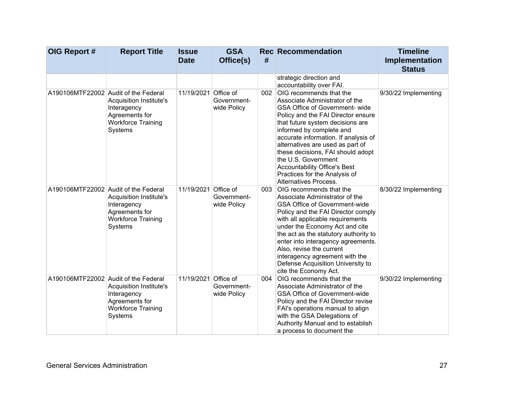| OIG Report #                         | <b>Report Title</b>                                                                                     | <b>Issue</b><br><b>Date</b> | <b>GSA</b><br>Office(s)    | #   | <b>Rec Recommendation</b>                                                                                                                                                                                                                                                                                                                                                                                                                         | <b>Timeline</b><br>Implementation<br><b>Status</b> |
|--------------------------------------|---------------------------------------------------------------------------------------------------------|-----------------------------|----------------------------|-----|---------------------------------------------------------------------------------------------------------------------------------------------------------------------------------------------------------------------------------------------------------------------------------------------------------------------------------------------------------------------------------------------------------------------------------------------------|----------------------------------------------------|
|                                      |                                                                                                         |                             |                            |     | strategic direction and<br>accountability over FAI.                                                                                                                                                                                                                                                                                                                                                                                               |                                                    |
| A190106MTF22002 Audit of the Federal | <b>Acquisition Institute's</b><br>Interagency<br>Agreements for<br><b>Workforce Training</b><br>Systems | 11/19/2021 Office of        | Government-<br>wide Policy | 002 | OIG recommends that the<br>Associate Administrator of the<br><b>GSA Office of Government- wide</b><br>Policy and the FAI Director ensure<br>that future system decisions are<br>informed by complete and<br>accurate information. If analysis of<br>alternatives are used as part of<br>these decisions, FAI should adopt<br>the U.S. Government<br><b>Accountability Office's Best</b><br>Practices for the Analysis of<br>Alternatives Process. | 9/30/22 Implementing                               |
| A190106MTF22002 Audit of the Federal | <b>Acquisition Institute's</b><br>Interagency<br>Agreements for<br><b>Workforce Training</b><br>Systems | 11/19/2021 Office of        | Government-<br>wide Policy | 003 | <b>OIG</b> recommends that the<br>Associate Administrator of the<br><b>GSA Office of Government-wide</b><br>Policy and the FAI Director comply<br>with all applicable requirements<br>under the Economy Act and cite<br>the act as the statutory authority to<br>enter into interagency agreements.<br>Also, revise the current<br>interagency agreement with the<br>Defense Acquisition University to<br>cite the Economy Act.                   | 8/30/22 Implementing                               |
| A190106MTF22002 Audit of the Federal | <b>Acquisition Institute's</b><br>Interagency<br>Agreements for<br><b>Workforce Training</b><br>Systems | 11/19/2021 Office of        | Government-<br>wide Policy | 004 | OIG recommends that the<br>Associate Administrator of the<br><b>GSA Office of Government-wide</b><br>Policy and the FAI Director revise<br>FAI's operations manual to align<br>with the GSA Delegations of<br>Authority Manual and to establish<br>a process to document the                                                                                                                                                                      | 9/30/22 Implementing                               |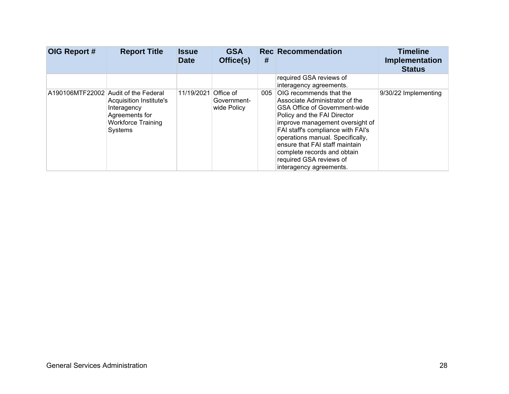| OIG Report # | <b>Report Title</b>                                                                                                                      | <b>Issue</b><br><b>Date</b> | <b>GSA</b><br>Office(s)                 | #   | <b>Rec</b> Recommendation                                                                                                                                                                                                                                                                                                                                                  | <b>Timeline</b><br>Implementation<br><b>Status</b> |
|--------------|------------------------------------------------------------------------------------------------------------------------------------------|-----------------------------|-----------------------------------------|-----|----------------------------------------------------------------------------------------------------------------------------------------------------------------------------------------------------------------------------------------------------------------------------------------------------------------------------------------------------------------------------|----------------------------------------------------|
|              |                                                                                                                                          |                             |                                         |     | required GSA reviews of<br>interagency agreements.                                                                                                                                                                                                                                                                                                                         |                                                    |
|              | A190106MTF22002 Audit of the Federal<br>Acquisition Institute's<br>Interagency<br>Agreements for<br><b>Workforce Training</b><br>Systems | 11/19/2021                  | Office of<br>Government-<br>wide Policy | 005 | <b>OIG</b> recommends that the<br>Associate Administrator of the<br><b>GSA Office of Government-wide</b><br>Policy and the FAI Director<br>improve management oversight of<br>FAI staff's compliance with FAI's<br>operations manual. Specifically,<br>ensure that FAI staff maintain<br>complete records and obtain<br>required GSA reviews of<br>interagency agreements. | 9/30/22 Implementing                               |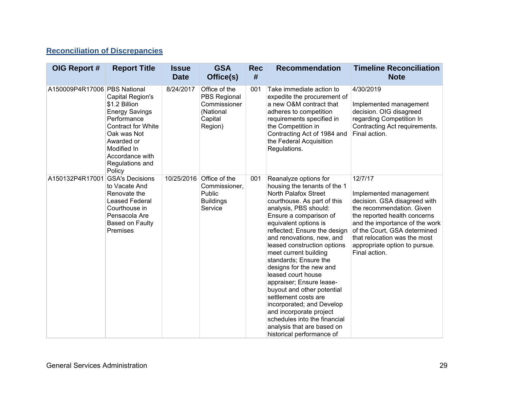#### **Reconciliation of Discrepancies**

| OIG Report #                 | <b>Report Title</b>                                                                                                                                                                                | <b>Issue</b><br><b>Date</b> | <b>GSA</b><br>Office(s)                                                          | <b>Rec</b><br># | <b>Recommendation</b>                                                                                                                                                                                                                                                                                                                                                                                                                                                                                                                                                                                                        | <b>Timeline Reconciliation</b><br><b>Note</b>                                                                                                                                                                                                                                      |
|------------------------------|----------------------------------------------------------------------------------------------------------------------------------------------------------------------------------------------------|-----------------------------|----------------------------------------------------------------------------------|-----------------|------------------------------------------------------------------------------------------------------------------------------------------------------------------------------------------------------------------------------------------------------------------------------------------------------------------------------------------------------------------------------------------------------------------------------------------------------------------------------------------------------------------------------------------------------------------------------------------------------------------------------|------------------------------------------------------------------------------------------------------------------------------------------------------------------------------------------------------------------------------------------------------------------------------------|
| A150009P4R17006 PBS National | Capital Region's<br>\$1.2 Billion<br><b>Energy Savings</b><br>Performance<br><b>Contract for White</b><br>Oak was Not<br>Awarded or<br>Modified In<br>Accordance with<br>Regulations and<br>Policy | 8/24/2017                   | Office of the<br>PBS Regional<br>Commissioner<br>(National<br>Capital<br>Region) | 001             | Take immediate action to<br>expedite the procurement of<br>a new O&M contract that<br>adheres to competition<br>requirements specified in<br>the Competition in<br>Contracting Act of 1984 and<br>the Federal Acquisition<br>Regulations.                                                                                                                                                                                                                                                                                                                                                                                    | 4/30/2019<br>Implemented management<br>decision. OIG disagreed<br>regarding Competition In<br>Contracting Act requirements.<br>Final action.                                                                                                                                       |
| A150132P4R17001              | <b>GSA's Decisions</b><br>to Vacate And<br>Renovate the<br><b>Leased Federal</b><br>Courthouse in<br>Pensacola Are<br>Based on Faulty<br>Premises                                                  | 10/25/2016                  | Office of the<br>Commissioner,<br>Public<br><b>Buildings</b><br>Service          | 001             | Reanalyze options for<br>housing the tenants of the 1<br>North Palafox Street<br>courthouse. As part of this<br>analysis, PBS should:<br>Ensure a comparison of<br>equivalent options is<br>reflected; Ensure the design<br>and renovations, new, and<br>leased construction options<br>meet current building<br>standards; Ensure the<br>designs for the new and<br>leased court house<br>appraiser; Ensure lease-<br>buyout and other potential<br>settlement costs are<br>incorporated; and Develop<br>and incorporate project<br>schedules into the financial<br>analysis that are based on<br>historical performance of | 12/7/17<br>Implemented management<br>decision. GSA disagreed with<br>the recommendation. Given<br>the reported health concerns<br>and the importance of the work<br>of the Court, GSA determined<br>that relocation was the most<br>appropriate option to pursue.<br>Final action. |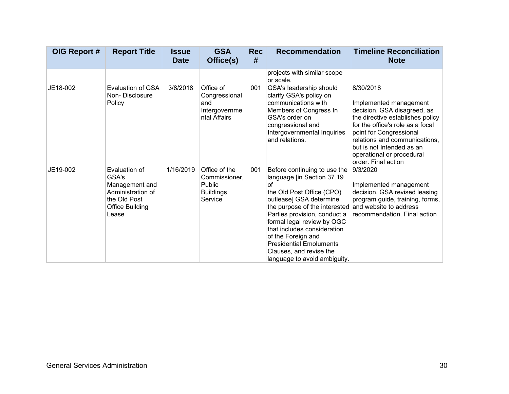| OIG Report # | <b>Report Title</b>                                                                                       | <b>Issue</b><br><b>Date</b> | <b>GSA</b><br>Office(s)                                                        | <b>Rec</b><br># | <b>Recommendation</b>                                                                                                                                                                                                                                                                                                                                                     | <b>Timeline Reconciliation</b><br><b>Note</b>                                                                                                                                                                                                                                           |
|--------------|-----------------------------------------------------------------------------------------------------------|-----------------------------|--------------------------------------------------------------------------------|-----------------|---------------------------------------------------------------------------------------------------------------------------------------------------------------------------------------------------------------------------------------------------------------------------------------------------------------------------------------------------------------------------|-----------------------------------------------------------------------------------------------------------------------------------------------------------------------------------------------------------------------------------------------------------------------------------------|
|              |                                                                                                           |                             |                                                                                |                 | projects with similar scope<br>or scale.                                                                                                                                                                                                                                                                                                                                  |                                                                                                                                                                                                                                                                                         |
| JE18-002     | Evaluation of GSA<br>Non-Disclosure<br>Policy                                                             | 3/8/2018                    | Office of<br>Congressional<br>and<br>Intergovernme<br>ntal Affairs             | 001             | GSA's leadership should<br>clarify GSA's policy on<br>communications with<br>Members of Congress In<br>GSA's order on<br>congressional and<br>Intergovernmental Inquiries<br>and relations.                                                                                                                                                                               | 8/30/2018<br>Implemented management<br>decision. GSA disagreed, as<br>the directive establishes policy<br>for the office's role as a focal<br>point for Congressional<br>relations and communications.<br>but is not Intended as an<br>operational or procedural<br>order. Final action |
| JE19-002     | Evaluation of<br>GSA's<br>Management and<br>Administration of<br>the Old Post<br>Office Building<br>Lease | 1/16/2019                   | Office of the<br>Commissioner,<br><b>Public</b><br><b>Buildings</b><br>Service | 001             | Before continuing to use the<br>language [in Section 37.19<br>οf<br>the Old Post Office (CPO)<br>outlease] GSA determine<br>the purpose of the interested<br>Parties provision, conduct a<br>formal legal review by OGC<br>that includes consideration<br>of the Foreign and<br><b>Presidential Emoluments</b><br>Clauses, and revise the<br>language to avoid ambiguity. | 9/3/2020<br>Implemented management<br>decision. GSA revised leasing<br>program guide, training, forms,<br>and website to address<br>recommendation. Final action                                                                                                                        |